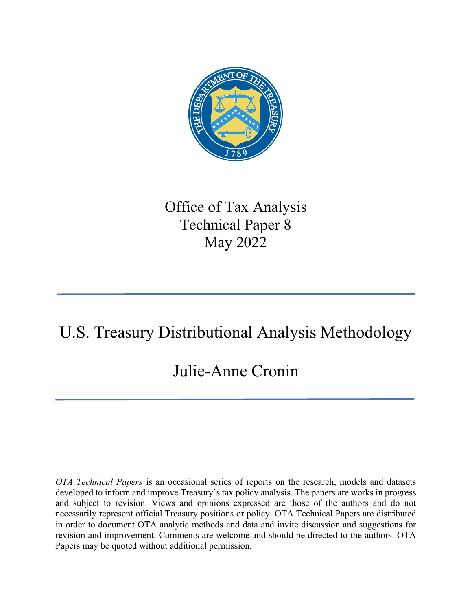

## Office of Tax Analysis Technical Paper 8 May 2022

# U.S. Treasury Distributional Analysis Methodology

## Julie-Anne Cronin

*OTA Technical Papers* is an occasional series of reports on the research, models and datasets developed to inform and improve Treasury's tax policy analysis. The papers are works in progress and subject to revision. Views and opinions expressed are those of the authors and do not necessarily represent official Treasury positions or policy. OTA Technical Papers are distributed in order to document OTA analytic methods and data and invite discussion and suggestions for revision and improvement. Comments are welcome and should be directed to the authors. OTA Papers may be quoted without additional permission.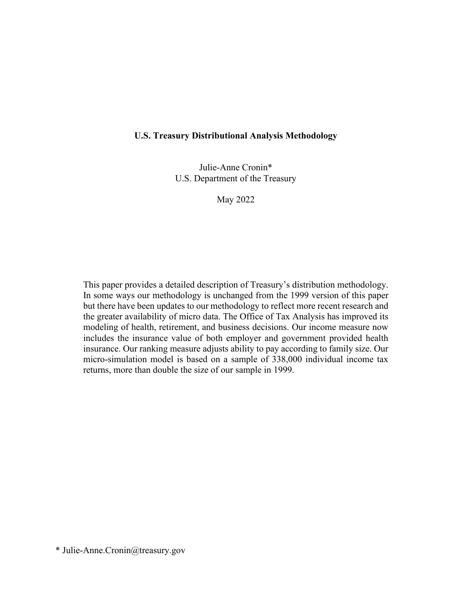#### **U.S. Treasury Distributional Analysis Methodology**

Julie-Anne Cronin\* U.S. Department of the Treasury

May 2022

This paper provides a detailed description of Treasury's distribution methodology. In some ways our methodology is unchanged from the 1999 version of this paper but there have been updates to our methodology to reflect more recent research and the greater availability of micro data. The Office of Tax Analysis has improved its modeling of health, retirement, and business decisions. Our income measure now includes the insurance value of both employer and government provided health insurance. Our ranking measure adjusts ability to pay according to family size. Our micro-simulation model is based on a sample of 338,000 individual income tax returns, more than double the size of our sample in 1999.

\* Julie-Anne.Cronin@treasury.gov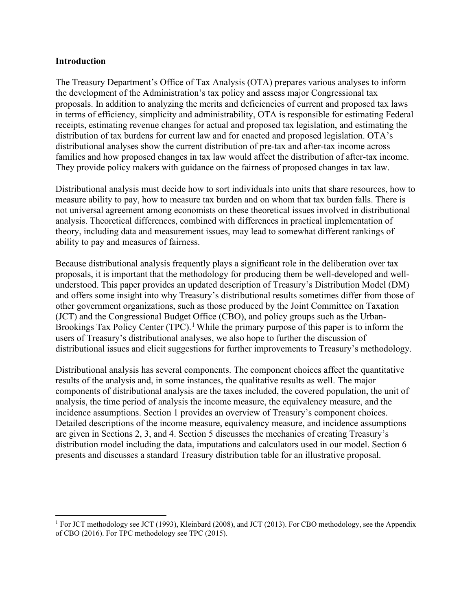#### **Introduction**

The Treasury Department's Office of Tax Analysis (OTA) prepares various analyses to inform the development of the Administration's tax policy and assess major Congressional tax proposals. In addition to analyzing the merits and deficiencies of current and proposed tax laws in terms of efficiency, simplicity and administrability, OTA is responsible for estimating Federal receipts, estimating revenue changes for actual and proposed tax legislation, and estimating the distribution of tax burdens for current law and for enacted and proposed legislation. OTA's distributional analyses show the current distribution of pre-tax and after-tax income across families and how proposed changes in tax law would affect the distribution of after-tax income. They provide policy makers with guidance on the fairness of proposed changes in tax law.

Distributional analysis must decide how to sort individuals into units that share resources, how to measure ability to pay, how to measure tax burden and on whom that tax burden falls. There is not universal agreement among economists on these theoretical issues involved in distributional analysis. Theoretical differences, combined with differences in practical implementation of theory, including data and measurement issues, may lead to somewhat different rankings of ability to pay and measures of fairness.

Because distributional analysis frequently plays a significant role in the deliberation over tax proposals, it is important that the methodology for producing them be well-developed and wellunderstood. This paper provides an updated description of Treasury's Distribution Model (DM) and offers some insight into why Treasury's distributional results sometimes differ from those of other government organizations, such as those produced by the Joint Committee on Taxation (JCT) and the Congressional Budget Office (CBO), and policy groups such as the Urban-Brookings Tax Policy Center (TPC).<sup>[1](#page-2-0)</sup> While the primary purpose of this paper is to inform the users of Treasury's distributional analyses, we also hope to further the discussion of distributional issues and elicit suggestions for further improvements to Treasury's methodology.

Distributional analysis has several components. The component choices affect the quantitative results of the analysis and, in some instances, the qualitative results as well. The major components of distributional analysis are the taxes included, the covered population, the unit of analysis, the time period of analysis the income measure, the equivalency measure, and the incidence assumptions. Section 1 provides an overview of Treasury's component choices. Detailed descriptions of the income measure, equivalency measure, and incidence assumptions are given in Sections 2, 3, and 4. Section 5 discusses the mechanics of creating Treasury's distribution model including the data, imputations and calculators used in our model. Section 6 presents and discusses a standard Treasury distribution table for an illustrative proposal.

<span id="page-2-0"></span><sup>1</sup> For JCT methodology see JCT (1993), Kleinbard (2008), and JCT (2013). For CBO methodology, see the Appendix of CBO (2016). For TPC methodology see TPC (2015).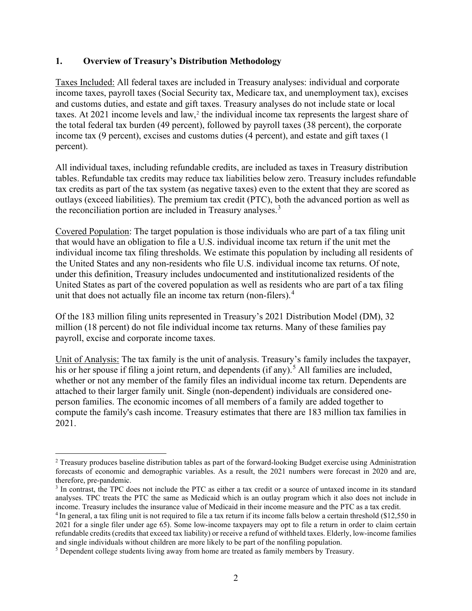## **1. Overview of Treasury's Distribution Methodology**

Taxes Included: All federal taxes are included in Treasury analyses: individual and corporate income taxes, payroll taxes (Social Security tax, Medicare tax, and unemployment tax), excises and customs duties, and estate and gift taxes. Treasury analyses do not include state or local taxes. At [2](#page-3-0)021 income levels and law,<sup>2</sup> the individual income tax represents the largest share of the total federal tax burden (49 percent), followed by payroll taxes (38 percent), the corporate income tax (9 percent), excises and customs duties (4 percent), and estate and gift taxes (1 percent).

All individual taxes, including refundable credits, are included as taxes in Treasury distribution tables. Refundable tax credits may reduce tax liabilities below zero. Treasury includes refundable tax credits as part of the tax system (as negative taxes) even to the extent that they are scored as outlays (exceed liabilities). The premium tax credit (PTC), both the advanced portion as well as the reconciliation portion are included in Treasury analyses.<sup>[3](#page-3-1)</sup>

Covered Population: The target population is those individuals who are part of a tax filing unit that would have an obligation to file a U.S. individual income tax return if the unit met the individual income tax filing thresholds. We estimate this population by including all residents of the United States and any non-residents who file U.S. individual income tax returns. Of note, under this definition, Treasury includes undocumented and institutionalized residents of the United States as part of the covered population as well as residents who are part of a tax filing unit that does not actually file an income tax return (non-filers).<sup>[4](#page-3-2)</sup>

Of the 183 million filing units represented in Treasury's 2021 Distribution Model (DM), 32 million (18 percent) do not file individual income tax returns. Many of these families pay payroll, excise and corporate income taxes.

Unit of Analysis: The tax family is the unit of analysis. Treasury's family includes the taxpayer, his or her spouse if filing a joint return, and dependents (if any).<sup>[5](#page-3-3)</sup> All families are included, whether or not any member of the family files an individual income tax return. Dependents are attached to their larger family unit. Single (non-dependent) individuals are considered oneperson families. The economic incomes of all members of a family are added together to compute the family's cash income. Treasury estimates that there are 183 million tax families in 2021.

<span id="page-3-0"></span><sup>&</sup>lt;sup>2</sup> Treasury produces baseline distribution tables as part of the forward-looking Budget exercise using Administration forecasts of economic and demographic variables. As a result, the 2021 numbers were forecast in 2020 and are,

<span id="page-3-1"></span><sup>&</sup>lt;sup>3</sup> In contrast, the TPC does not include the PTC as either a tax credit or a source of untaxed income in its standard analyses. TPC treats the PTC the same as Medicaid which is an outlay program which it also does not include in income. Treasury includes the insurance value of Medicaid in their income measure and the PTC as a tax credit.

<span id="page-3-2"></span><sup>4</sup> In general, a tax filing unit is not required to file a tax return if its income falls below a certain threshold (\$12,550 in 2021 for a single filer under age 65). Some low-income taxpayers may opt to file a return in order to claim certain refundable credits (credits that exceed tax liability) or receive a refund of withheld taxes. Elderly, low-income families and single individuals without children are more likely to be part of the nonfiling population.

<span id="page-3-3"></span><sup>5</sup> Dependent college students living away from home are treated as family members by Treasury.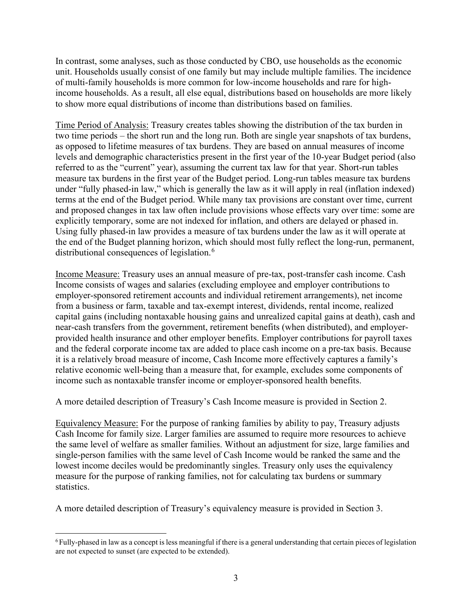In contrast, some analyses, such as those conducted by CBO, use households as the economic unit. Households usually consist of one family but may include multiple families. The incidence of multi-family households is more common for low-income households and rare for highincome households. As a result, all else equal, distributions based on households are more likely to show more equal distributions of income than distributions based on families.

Time Period of Analysis: Treasury creates tables showing the distribution of the tax burden in two time periods – the short run and the long run. Both are single year snapshots of tax burdens, as opposed to lifetime measures of tax burdens. They are based on annual measures of income levels and demographic characteristics present in the first year of the 10-year Budget period (also referred to as the "current" year), assuming the current tax law for that year. Short-run tables measure tax burdens in the first year of the Budget period. Long-run tables measure tax burdens under "fully phased-in law," which is generally the law as it will apply in real (inflation indexed) terms at the end of the Budget period. While many tax provisions are constant over time, current and proposed changes in tax law often include provisions whose effects vary over time: some are explicitly temporary, some are not indexed for inflation, and others are delayed or phased in. Using fully phased-in law provides a measure of tax burdens under the law as it will operate at the end of the Budget planning horizon, which should most fully reflect the long-run, permanent, distributional consequences of legislation.<sup>[6](#page-4-0)</sup>

Income Measure: Treasury uses an annual measure of pre-tax, post-transfer cash income. Cash Income consists of wages and salaries (excluding employee and employer contributions to employer-sponsored retirement accounts and individual retirement arrangements), net income from a business or farm, taxable and tax-exempt interest, dividends, rental income, realized capital gains (including nontaxable housing gains and unrealized capital gains at death), cash and near-cash transfers from the government, retirement benefits (when distributed), and employerprovided health insurance and other employer benefits. Employer contributions for payroll taxes and the federal corporate income tax are added to place cash income on a pre-tax basis. Because it is a relatively broad measure of income, Cash Income more effectively captures a family's relative economic well-being than a measure that, for example, excludes some components of income such as nontaxable transfer income or employer-sponsored health benefits.

A more detailed description of Treasury's Cash Income measure is provided in Section 2.

Equivalency Measure: For the purpose of ranking families by ability to pay, Treasury adjusts Cash Income for family size. Larger families are assumed to require more resources to achieve the same level of welfare as smaller families. Without an adjustment for size, large families and single-person families with the same level of Cash Income would be ranked the same and the lowest income deciles would be predominantly singles. Treasury only uses the equivalency measure for the purpose of ranking families, not for calculating tax burdens or summary statistics.

A more detailed description of Treasury's equivalency measure is provided in Section 3.

<span id="page-4-0"></span><sup>6</sup> Fully-phased in law as a concept is less meaningful if there is a general understanding that certain pieces of legislation are not expected to sunset (are expected to be extended).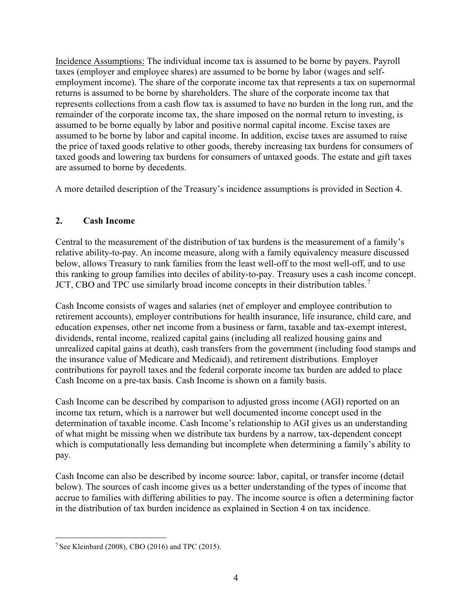Incidence Assumptions: The individual income tax is assumed to be borne by payers. Payroll taxes (employer and employee shares) are assumed to be borne by labor (wages and selfemployment income). The share of the corporate income tax that represents a tax on supernormal returns is assumed to be borne by shareholders. The share of the corporate income tax that represents collections from a cash flow tax is assumed to have no burden in the long run, and the remainder of the corporate income tax, the share imposed on the normal return to investing, is assumed to be borne equally by labor and positive normal capital income. Excise taxes are assumed to be borne by labor and capital income. In addition, excise taxes are assumed to raise the price of taxed goods relative to other goods, thereby increasing tax burdens for consumers of taxed goods and lowering tax burdens for consumers of untaxed goods. The estate and gift taxes are assumed to borne by decedents.

A more detailed description of the Treasury's incidence assumptions is provided in Section 4.

## **2. Cash Income**

Central to the measurement of the distribution of tax burdens is the measurement of a family's relative ability-to-pay. An income measure, along with a family equivalency measure discussed below, allows Treasury to rank families from the least well-off to the most well-off, and to use this ranking to group families into deciles of ability-to-pay. Treasury uses a cash income concept. JCT, CBO and TPC use similarly broad income concepts in their distribution tables.<sup>[7](#page-5-0)</sup>

Cash Income consists of wages and salaries (net of employer and employee contribution to retirement accounts), employer contributions for health insurance, life insurance, child care, and education expenses, other net income from a business or farm, taxable and tax-exempt interest, dividends, rental income, realized capital gains (including all realized housing gains and unrealized capital gains at death), cash transfers from the government (including food stamps and the insurance value of Medicare and Medicaid), and retirement distributions. Employer contributions for payroll taxes and the federal corporate income tax burden are added to place Cash Income on a pre-tax basis. Cash Income is shown on a family basis.

Cash Income can be described by comparison to adjusted gross income (AGI) reported on an income tax return, which is a narrower but well documented income concept used in the determination of taxable income. Cash Income's relationship to AGI gives us an understanding of what might be missing when we distribute tax burdens by a narrow, tax-dependent concept which is computationally less demanding but incomplete when determining a family's ability to pay.

Cash Income can also be described by income source: labor, capital, or transfer income (detail below). The sources of cash income gives us a better understanding of the types of income that accrue to families with differing abilities to pay. The income source is often a determining factor in the distribution of tax burden incidence as explained in Section 4 on tax incidence.

<span id="page-5-0"></span><sup>&</sup>lt;sup>7</sup> See Kleinbard (2008), CBO (2016) and TPC (2015).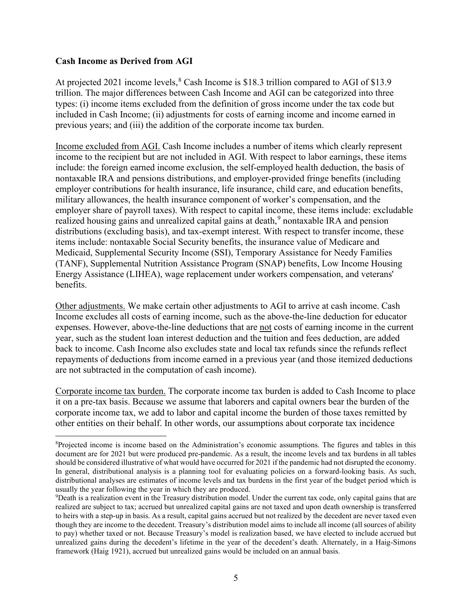#### **Cash Income as Derived from AGI**

At projected 2021 income levels,  $8$  Cash Income is \$18.3 trillion compared to AGI of \$13.9 trillion. The major differences between Cash Income and AGI can be categorized into three types: (i) income items excluded from the definition of gross income under the tax code but included in Cash Income; (ii) adjustments for costs of earning income and income earned in previous years; and (iii) the addition of the corporate income tax burden.

Income excluded from AGI. Cash Income includes a number of items which clearly represent income to the recipient but are not included in AGI. With respect to labor earnings, these items include: the foreign earned income exclusion, the self-employed health deduction, the basis of nontaxable IRA and pensions distributions, and employer-provided fringe benefits (including employer contributions for health insurance, life insurance, child care, and education benefits, military allowances, the health insurance component of worker's compensation, and the employer share of payroll taxes). With respect to capital income, these items include: excludable realized housing gains and unrealized capital gains at death, <sup>[9](#page-6-1)</sup> nontaxable IRA and pension distributions (excluding basis), and tax-exempt interest. With respect to transfer income, these items include: nontaxable Social Security benefits, the insurance value of Medicare and Medicaid, Supplemental Security Income (SSI), Temporary Assistance for Needy Families (TANF), Supplemental Nutrition Assistance Program (SNAP) benefits, Low Income Housing Energy Assistance (LIHEA), wage replacement under workers compensation, and veterans' benefits.

Other adjustments. We make certain other adjustments to AGI to arrive at cash income. Cash Income excludes all costs of earning income, such as the above-the-line deduction for educator expenses. However, above-the-line deductions that are not costs of earning income in the current year, such as the student loan interest deduction and the tuition and fees deduction, are added back to income. Cash Income also excludes state and local tax refunds since the refunds reflect repayments of deductions from income earned in a previous year (and those itemized deductions are not subtracted in the computation of cash income).

Corporate income tax burden. The corporate income tax burden is added to Cash Income to place it on a pre-tax basis. Because we assume that laborers and capital owners bear the burden of the corporate income tax, we add to labor and capital income the burden of those taxes remitted by other entities on their behalf. In other words, our assumptions about corporate tax incidence

<span id="page-6-0"></span><sup>&</sup>lt;sup>8</sup>Projected income is income based on the Administration's economic assumptions. The figures and tables in this document are for 2021 but were produced pre-pandemic. As a result, the income levels and tax burdens in all tables should be considered illustrative of what would have occurred for 2021 if the pandemic had not disrupted the economy. In general, distributional analysis is a planning tool for evaluating policies on a forward-looking basis. As such, distributional analyses are estimates of income levels and tax burdens in the first year of the budget period which is usually the year following the year in which they are produced.

<span id="page-6-1"></span><sup>9</sup> Death is a realization event in the Treasury distribution model. Under the current tax code, only capital gains that are realized are subject to tax; accrued but unrealized capital gains are not taxed and upon death ownership is transferred to heirs with a step-up in basis. As a result, capital gains accrued but not realized by the decedent are never taxed even though they are income to the decedent. Treasury's distribution model aims to include all income (all sources of ability to pay) whether taxed or not. Because Treasury's model is realization based, we have elected to include accrued but unrealized gains during the decedent's lifetime in the year of the decedent's death. Alternately, in a Haig-Simons framework (Haig 1921), accrued but unrealized gains would be included on an annual basis.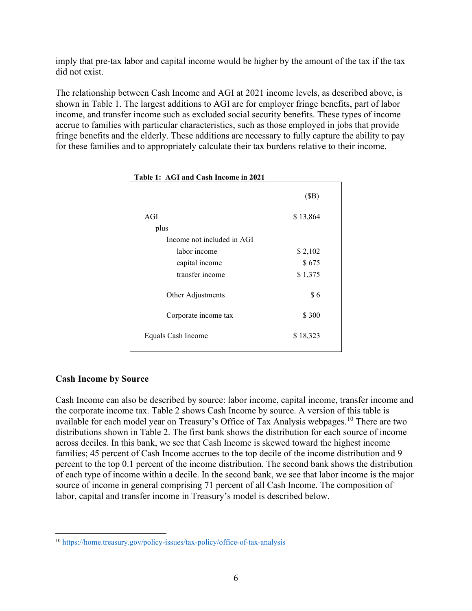imply that pre-tax labor and capital income would be higher by the amount of the tax if the tax did not exist.

The relationship between Cash Income and AGI at 2021 income levels, as described above, is shown in Table 1. The largest additions to AGI are for employer fringe benefits, part of labor income, and transfer income such as excluded social security benefits. These types of income accrue to families with particular characteristics, such as those employed in jobs that provide fringe benefits and the elderly. These additions are necessary to fully capture the ability to pay for these families and to appropriately calculate their tax burdens relative to their income.

|                            | (SB)     |  |
|----------------------------|----------|--|
| AGI                        | \$13,864 |  |
| plus                       |          |  |
| Income not included in AGI |          |  |
| labor income               | \$2,102  |  |
| capital income             | \$675    |  |
| transfer income            | \$1,375  |  |
| Other Adjustments          | \$6      |  |
| Corporate income tax       | \$300    |  |
| Equals Cash Income         | \$18,323 |  |
|                            |          |  |

#### **Table 1: AGI and Cash Income in 2021**

#### **Cash Income by Source**

Cash Income can also be described by source: labor income, capital income, transfer income and the corporate income tax. Table 2 shows Cash Income by source. A version of this table is available for each model year on Treasury's Office of Tax Analysis webpages.<sup>[10](#page-7-0)</sup> There are two distributions shown in Table 2. The first bank shows the distribution for each source of income across deciles. In this bank, we see that Cash Income is skewed toward the highest income families; 45 percent of Cash Income accrues to the top decile of the income distribution and 9 percent to the top 0.1 percent of the income distribution. The second bank shows the distribution of each type of income within a decile. In the second bank, we see that labor income is the major source of income in general comprising 71 percent of all Cash Income. The composition of labor, capital and transfer income in Treasury's model is described below.

<span id="page-7-0"></span><sup>10</sup> <https://home.treasury.gov/policy-issues/tax-policy/office-of-tax-analysis>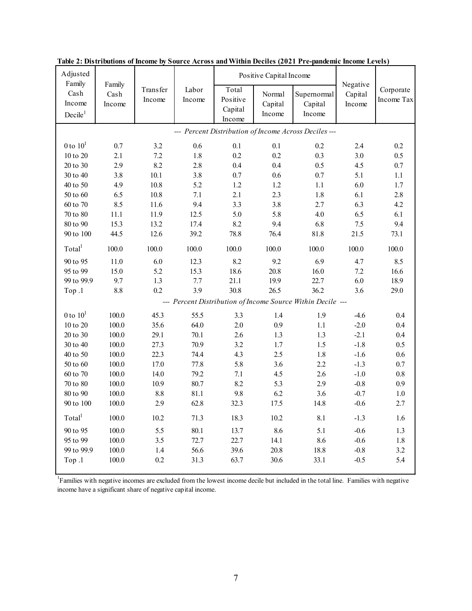| Family<br>Family<br>Negative<br>Labor<br>Total<br><b>Transfer</b><br>Corporate<br>Cash<br>Capital<br>Cash<br>Normal<br>Supernormal<br>Positive<br>Income<br>Income Tax<br>Income<br>Income<br>Capital<br>Capital<br>Income<br>Income<br>Capital<br>Income<br>Decile <sup>1</sup><br>Income<br>Income<br>--- Percent Distribution of Income Across Deciles ---<br>0 to $101$<br>0.7<br>3.2<br>0.1<br>0.6<br>0.1<br>0.2<br>2.4<br>0.2<br>$10$ to $20\,$<br>$7.2\,$<br>1.8<br>0.2<br>0.2<br>0.5<br>2.1<br>0.3<br>3.0<br>20 to 30<br>2.9<br>8.2<br>$0.7\,$<br>2.8<br>0.4<br>0.4<br>0.5<br>4.5<br>10.1<br>3.8<br>0.7<br>5.1<br>1.1<br>30 to 40<br>3.8<br>0.6<br>0.7<br>4.9<br>10.8<br>5.2<br>1.2<br>6.0<br>1.7<br>40 to 50<br>1.2<br>1.1<br>6.5<br>10.8<br>7.1<br>2.1<br>2.3<br>2.8<br>50 to 60<br>1.8<br>6.1<br>8.5<br>9.4<br>3.3<br>3.8<br>6.3<br>4.2<br>60 to 70<br>11.6<br>2.7<br>6.1<br>70 to 80<br>5.0<br>5.8<br>11.1<br>11.9<br>12.5<br>4.0<br>6.5<br>80 to 90<br>8.2<br>9.4<br>9.4<br>15.3<br>13.2<br>17.4<br>6.8<br>7.5<br>90 to 100<br>44.5<br>12.6<br>39.2<br>78.8<br>76.4<br>81.8<br>21.5<br>73.1<br>Total <sup>1</sup><br>100.0<br>100.0<br>100.0<br>100.0<br>100.0<br>100.0<br>100.0<br>100.0<br>6.0<br>8.2<br>9.2<br>6.9<br>8.5<br>90 to 95<br>11.0<br>12.3<br>4.7<br>95 to 99<br>5.2<br>18.6<br>20.8<br>15.0<br>15.3<br>16.0<br>7.2<br>16.6<br>99 to 99.9<br>9.7<br>1.3<br>7.7<br>6.0<br>21.1<br>19.9<br>22.7<br>18.9<br>0.2<br>3.9<br>30.8<br>8.8<br>26.5<br>36.2<br>Top .1<br>3.6<br>29.0<br>--- Percent Distribution of Income Source Within Decile ---<br>0 to $101$<br>100.0<br>55.5<br>$0.4\,$<br>45.3<br>3.3<br>1.4<br>1.9<br>$-4.6$<br>10 to 20<br>35.6<br>64.0<br>$2.0\,$<br>0.9<br>$-2.0$<br>$0.4\,$<br>100.0<br>1.1<br>20 to 30<br>$-2.1$<br>$0.4\,$<br>100.0<br>29.1<br>70.1<br>2.6<br>1.3<br>1.3<br>3.2<br>0.5<br>30 to 40<br>100.0<br>27.3<br>70.9<br>1.7<br>1.5<br>$-1.8$<br>40 to 50<br>22.3<br>74.4<br>4.3<br>2.5<br>1.8<br>0.6<br>100.0<br>$-1.6$<br>17.0<br>77.8<br>5.8<br>0.7<br>50 to 60<br>100.0<br>3.6<br>2.2<br>$-1.3$<br>14.0<br>79.2<br>$0.8\,$<br>60 to 70<br>100.0<br>7.1<br>4.5<br>2.6<br>$-1.0$<br>10.9<br>80.7<br>8.2<br>5.3<br>2.9<br>0.9<br>70 to 80<br>100.0<br>$-0.8$<br>80 to 90<br>100.0<br>8.8<br>81.1<br>9.8<br>6.2<br>3.6<br>$-0.7$<br>$1.0\,$<br>2.9<br>62.8<br>17.5<br>90 to 100<br>100.0<br>32.3<br>14.8<br>$-0.6$<br>2.7<br>Total <sup>1</sup><br>100.0<br>10.2<br>71.3<br>18.3<br>10.2<br>8.1<br>$-1.3$<br>1.6<br>8.6<br>90 to 95<br>100.0<br>5.5<br>80.1<br>13.7<br>5.1<br>$-0.6$<br>1.3<br>95 to 99<br>72.7<br>100.0<br>3.5<br>22.7<br>14.1<br>8.6<br>$-0.6$<br>1.8<br>99 to 99.9<br>20.8<br>3.2<br>100.0<br>$1.4$<br>56.6<br>39.6<br>18.8<br>$-0.8$<br>Top .1<br>$100.0\,$<br>$0.2\,$<br>31.3<br>63.7<br>30.6<br>5.4<br>33.1<br>$-0.5$ | Adjusted |  |  | Positive Capital Income |  |  |  |
|---------------------------------------------------------------------------------------------------------------------------------------------------------------------------------------------------------------------------------------------------------------------------------------------------------------------------------------------------------------------------------------------------------------------------------------------------------------------------------------------------------------------------------------------------------------------------------------------------------------------------------------------------------------------------------------------------------------------------------------------------------------------------------------------------------------------------------------------------------------------------------------------------------------------------------------------------------------------------------------------------------------------------------------------------------------------------------------------------------------------------------------------------------------------------------------------------------------------------------------------------------------------------------------------------------------------------------------------------------------------------------------------------------------------------------------------------------------------------------------------------------------------------------------------------------------------------------------------------------------------------------------------------------------------------------------------------------------------------------------------------------------------------------------------------------------------------------------------------------------------------------------------------------------------------------------------------------------------------------------------------------------------------------------------------------------------------------------------------------------------------------------------------------------------------------------------------------------------------------------------------------------------------------------------------------------------------------------------------------------------------------------------------------------------------------------------------------------------------------------------------------------------------------------------------------------------------------------------------------------------------------------------------------------------------------------------------------------------------------------------------------------------------------------------------|----------|--|--|-------------------------|--|--|--|
|                                                                                                                                                                                                                                                                                                                                                                                                                                                                                                                                                                                                                                                                                                                                                                                                                                                                                                                                                                                                                                                                                                                                                                                                                                                                                                                                                                                                                                                                                                                                                                                                                                                                                                                                                                                                                                                                                                                                                                                                                                                                                                                                                                                                                                                                                                                                                                                                                                                                                                                                                                                                                                                                                                                                                                                                   |          |  |  |                         |  |  |  |
|                                                                                                                                                                                                                                                                                                                                                                                                                                                                                                                                                                                                                                                                                                                                                                                                                                                                                                                                                                                                                                                                                                                                                                                                                                                                                                                                                                                                                                                                                                                                                                                                                                                                                                                                                                                                                                                                                                                                                                                                                                                                                                                                                                                                                                                                                                                                                                                                                                                                                                                                                                                                                                                                                                                                                                                                   |          |  |  |                         |  |  |  |
|                                                                                                                                                                                                                                                                                                                                                                                                                                                                                                                                                                                                                                                                                                                                                                                                                                                                                                                                                                                                                                                                                                                                                                                                                                                                                                                                                                                                                                                                                                                                                                                                                                                                                                                                                                                                                                                                                                                                                                                                                                                                                                                                                                                                                                                                                                                                                                                                                                                                                                                                                                                                                                                                                                                                                                                                   |          |  |  |                         |  |  |  |
|                                                                                                                                                                                                                                                                                                                                                                                                                                                                                                                                                                                                                                                                                                                                                                                                                                                                                                                                                                                                                                                                                                                                                                                                                                                                                                                                                                                                                                                                                                                                                                                                                                                                                                                                                                                                                                                                                                                                                                                                                                                                                                                                                                                                                                                                                                                                                                                                                                                                                                                                                                                                                                                                                                                                                                                                   |          |  |  |                         |  |  |  |
|                                                                                                                                                                                                                                                                                                                                                                                                                                                                                                                                                                                                                                                                                                                                                                                                                                                                                                                                                                                                                                                                                                                                                                                                                                                                                                                                                                                                                                                                                                                                                                                                                                                                                                                                                                                                                                                                                                                                                                                                                                                                                                                                                                                                                                                                                                                                                                                                                                                                                                                                                                                                                                                                                                                                                                                                   |          |  |  |                         |  |  |  |
|                                                                                                                                                                                                                                                                                                                                                                                                                                                                                                                                                                                                                                                                                                                                                                                                                                                                                                                                                                                                                                                                                                                                                                                                                                                                                                                                                                                                                                                                                                                                                                                                                                                                                                                                                                                                                                                                                                                                                                                                                                                                                                                                                                                                                                                                                                                                                                                                                                                                                                                                                                                                                                                                                                                                                                                                   |          |  |  |                         |  |  |  |
|                                                                                                                                                                                                                                                                                                                                                                                                                                                                                                                                                                                                                                                                                                                                                                                                                                                                                                                                                                                                                                                                                                                                                                                                                                                                                                                                                                                                                                                                                                                                                                                                                                                                                                                                                                                                                                                                                                                                                                                                                                                                                                                                                                                                                                                                                                                                                                                                                                                                                                                                                                                                                                                                                                                                                                                                   |          |  |  |                         |  |  |  |
|                                                                                                                                                                                                                                                                                                                                                                                                                                                                                                                                                                                                                                                                                                                                                                                                                                                                                                                                                                                                                                                                                                                                                                                                                                                                                                                                                                                                                                                                                                                                                                                                                                                                                                                                                                                                                                                                                                                                                                                                                                                                                                                                                                                                                                                                                                                                                                                                                                                                                                                                                                                                                                                                                                                                                                                                   |          |  |  |                         |  |  |  |
|                                                                                                                                                                                                                                                                                                                                                                                                                                                                                                                                                                                                                                                                                                                                                                                                                                                                                                                                                                                                                                                                                                                                                                                                                                                                                                                                                                                                                                                                                                                                                                                                                                                                                                                                                                                                                                                                                                                                                                                                                                                                                                                                                                                                                                                                                                                                                                                                                                                                                                                                                                                                                                                                                                                                                                                                   |          |  |  |                         |  |  |  |
|                                                                                                                                                                                                                                                                                                                                                                                                                                                                                                                                                                                                                                                                                                                                                                                                                                                                                                                                                                                                                                                                                                                                                                                                                                                                                                                                                                                                                                                                                                                                                                                                                                                                                                                                                                                                                                                                                                                                                                                                                                                                                                                                                                                                                                                                                                                                                                                                                                                                                                                                                                                                                                                                                                                                                                                                   |          |  |  |                         |  |  |  |
|                                                                                                                                                                                                                                                                                                                                                                                                                                                                                                                                                                                                                                                                                                                                                                                                                                                                                                                                                                                                                                                                                                                                                                                                                                                                                                                                                                                                                                                                                                                                                                                                                                                                                                                                                                                                                                                                                                                                                                                                                                                                                                                                                                                                                                                                                                                                                                                                                                                                                                                                                                                                                                                                                                                                                                                                   |          |  |  |                         |  |  |  |
|                                                                                                                                                                                                                                                                                                                                                                                                                                                                                                                                                                                                                                                                                                                                                                                                                                                                                                                                                                                                                                                                                                                                                                                                                                                                                                                                                                                                                                                                                                                                                                                                                                                                                                                                                                                                                                                                                                                                                                                                                                                                                                                                                                                                                                                                                                                                                                                                                                                                                                                                                                                                                                                                                                                                                                                                   |          |  |  |                         |  |  |  |
|                                                                                                                                                                                                                                                                                                                                                                                                                                                                                                                                                                                                                                                                                                                                                                                                                                                                                                                                                                                                                                                                                                                                                                                                                                                                                                                                                                                                                                                                                                                                                                                                                                                                                                                                                                                                                                                                                                                                                                                                                                                                                                                                                                                                                                                                                                                                                                                                                                                                                                                                                                                                                                                                                                                                                                                                   |          |  |  |                         |  |  |  |
|                                                                                                                                                                                                                                                                                                                                                                                                                                                                                                                                                                                                                                                                                                                                                                                                                                                                                                                                                                                                                                                                                                                                                                                                                                                                                                                                                                                                                                                                                                                                                                                                                                                                                                                                                                                                                                                                                                                                                                                                                                                                                                                                                                                                                                                                                                                                                                                                                                                                                                                                                                                                                                                                                                                                                                                                   |          |  |  |                         |  |  |  |
|                                                                                                                                                                                                                                                                                                                                                                                                                                                                                                                                                                                                                                                                                                                                                                                                                                                                                                                                                                                                                                                                                                                                                                                                                                                                                                                                                                                                                                                                                                                                                                                                                                                                                                                                                                                                                                                                                                                                                                                                                                                                                                                                                                                                                                                                                                                                                                                                                                                                                                                                                                                                                                                                                                                                                                                                   |          |  |  |                         |  |  |  |
|                                                                                                                                                                                                                                                                                                                                                                                                                                                                                                                                                                                                                                                                                                                                                                                                                                                                                                                                                                                                                                                                                                                                                                                                                                                                                                                                                                                                                                                                                                                                                                                                                                                                                                                                                                                                                                                                                                                                                                                                                                                                                                                                                                                                                                                                                                                                                                                                                                                                                                                                                                                                                                                                                                                                                                                                   |          |  |  |                         |  |  |  |
|                                                                                                                                                                                                                                                                                                                                                                                                                                                                                                                                                                                                                                                                                                                                                                                                                                                                                                                                                                                                                                                                                                                                                                                                                                                                                                                                                                                                                                                                                                                                                                                                                                                                                                                                                                                                                                                                                                                                                                                                                                                                                                                                                                                                                                                                                                                                                                                                                                                                                                                                                                                                                                                                                                                                                                                                   |          |  |  |                         |  |  |  |
|                                                                                                                                                                                                                                                                                                                                                                                                                                                                                                                                                                                                                                                                                                                                                                                                                                                                                                                                                                                                                                                                                                                                                                                                                                                                                                                                                                                                                                                                                                                                                                                                                                                                                                                                                                                                                                                                                                                                                                                                                                                                                                                                                                                                                                                                                                                                                                                                                                                                                                                                                                                                                                                                                                                                                                                                   |          |  |  |                         |  |  |  |
|                                                                                                                                                                                                                                                                                                                                                                                                                                                                                                                                                                                                                                                                                                                                                                                                                                                                                                                                                                                                                                                                                                                                                                                                                                                                                                                                                                                                                                                                                                                                                                                                                                                                                                                                                                                                                                                                                                                                                                                                                                                                                                                                                                                                                                                                                                                                                                                                                                                                                                                                                                                                                                                                                                                                                                                                   |          |  |  |                         |  |  |  |
|                                                                                                                                                                                                                                                                                                                                                                                                                                                                                                                                                                                                                                                                                                                                                                                                                                                                                                                                                                                                                                                                                                                                                                                                                                                                                                                                                                                                                                                                                                                                                                                                                                                                                                                                                                                                                                                                                                                                                                                                                                                                                                                                                                                                                                                                                                                                                                                                                                                                                                                                                                                                                                                                                                                                                                                                   |          |  |  |                         |  |  |  |
|                                                                                                                                                                                                                                                                                                                                                                                                                                                                                                                                                                                                                                                                                                                                                                                                                                                                                                                                                                                                                                                                                                                                                                                                                                                                                                                                                                                                                                                                                                                                                                                                                                                                                                                                                                                                                                                                                                                                                                                                                                                                                                                                                                                                                                                                                                                                                                                                                                                                                                                                                                                                                                                                                                                                                                                                   |          |  |  |                         |  |  |  |
|                                                                                                                                                                                                                                                                                                                                                                                                                                                                                                                                                                                                                                                                                                                                                                                                                                                                                                                                                                                                                                                                                                                                                                                                                                                                                                                                                                                                                                                                                                                                                                                                                                                                                                                                                                                                                                                                                                                                                                                                                                                                                                                                                                                                                                                                                                                                                                                                                                                                                                                                                                                                                                                                                                                                                                                                   |          |  |  |                         |  |  |  |
|                                                                                                                                                                                                                                                                                                                                                                                                                                                                                                                                                                                                                                                                                                                                                                                                                                                                                                                                                                                                                                                                                                                                                                                                                                                                                                                                                                                                                                                                                                                                                                                                                                                                                                                                                                                                                                                                                                                                                                                                                                                                                                                                                                                                                                                                                                                                                                                                                                                                                                                                                                                                                                                                                                                                                                                                   |          |  |  |                         |  |  |  |
|                                                                                                                                                                                                                                                                                                                                                                                                                                                                                                                                                                                                                                                                                                                                                                                                                                                                                                                                                                                                                                                                                                                                                                                                                                                                                                                                                                                                                                                                                                                                                                                                                                                                                                                                                                                                                                                                                                                                                                                                                                                                                                                                                                                                                                                                                                                                                                                                                                                                                                                                                                                                                                                                                                                                                                                                   |          |  |  |                         |  |  |  |
|                                                                                                                                                                                                                                                                                                                                                                                                                                                                                                                                                                                                                                                                                                                                                                                                                                                                                                                                                                                                                                                                                                                                                                                                                                                                                                                                                                                                                                                                                                                                                                                                                                                                                                                                                                                                                                                                                                                                                                                                                                                                                                                                                                                                                                                                                                                                                                                                                                                                                                                                                                                                                                                                                                                                                                                                   |          |  |  |                         |  |  |  |
|                                                                                                                                                                                                                                                                                                                                                                                                                                                                                                                                                                                                                                                                                                                                                                                                                                                                                                                                                                                                                                                                                                                                                                                                                                                                                                                                                                                                                                                                                                                                                                                                                                                                                                                                                                                                                                                                                                                                                                                                                                                                                                                                                                                                                                                                                                                                                                                                                                                                                                                                                                                                                                                                                                                                                                                                   |          |  |  |                         |  |  |  |
|                                                                                                                                                                                                                                                                                                                                                                                                                                                                                                                                                                                                                                                                                                                                                                                                                                                                                                                                                                                                                                                                                                                                                                                                                                                                                                                                                                                                                                                                                                                                                                                                                                                                                                                                                                                                                                                                                                                                                                                                                                                                                                                                                                                                                                                                                                                                                                                                                                                                                                                                                                                                                                                                                                                                                                                                   |          |  |  |                         |  |  |  |
|                                                                                                                                                                                                                                                                                                                                                                                                                                                                                                                                                                                                                                                                                                                                                                                                                                                                                                                                                                                                                                                                                                                                                                                                                                                                                                                                                                                                                                                                                                                                                                                                                                                                                                                                                                                                                                                                                                                                                                                                                                                                                                                                                                                                                                                                                                                                                                                                                                                                                                                                                                                                                                                                                                                                                                                                   |          |  |  |                         |  |  |  |
|                                                                                                                                                                                                                                                                                                                                                                                                                                                                                                                                                                                                                                                                                                                                                                                                                                                                                                                                                                                                                                                                                                                                                                                                                                                                                                                                                                                                                                                                                                                                                                                                                                                                                                                                                                                                                                                                                                                                                                                                                                                                                                                                                                                                                                                                                                                                                                                                                                                                                                                                                                                                                                                                                                                                                                                                   |          |  |  |                         |  |  |  |
|                                                                                                                                                                                                                                                                                                                                                                                                                                                                                                                                                                                                                                                                                                                                                                                                                                                                                                                                                                                                                                                                                                                                                                                                                                                                                                                                                                                                                                                                                                                                                                                                                                                                                                                                                                                                                                                                                                                                                                                                                                                                                                                                                                                                                                                                                                                                                                                                                                                                                                                                                                                                                                                                                                                                                                                                   |          |  |  |                         |  |  |  |
|                                                                                                                                                                                                                                                                                                                                                                                                                                                                                                                                                                                                                                                                                                                                                                                                                                                                                                                                                                                                                                                                                                                                                                                                                                                                                                                                                                                                                                                                                                                                                                                                                                                                                                                                                                                                                                                                                                                                                                                                                                                                                                                                                                                                                                                                                                                                                                                                                                                                                                                                                                                                                                                                                                                                                                                                   |          |  |  |                         |  |  |  |
|                                                                                                                                                                                                                                                                                                                                                                                                                                                                                                                                                                                                                                                                                                                                                                                                                                                                                                                                                                                                                                                                                                                                                                                                                                                                                                                                                                                                                                                                                                                                                                                                                                                                                                                                                                                                                                                                                                                                                                                                                                                                                                                                                                                                                                                                                                                                                                                                                                                                                                                                                                                                                                                                                                                                                                                                   |          |  |  |                         |  |  |  |
|                                                                                                                                                                                                                                                                                                                                                                                                                                                                                                                                                                                                                                                                                                                                                                                                                                                                                                                                                                                                                                                                                                                                                                                                                                                                                                                                                                                                                                                                                                                                                                                                                                                                                                                                                                                                                                                                                                                                                                                                                                                                                                                                                                                                                                                                                                                                                                                                                                                                                                                                                                                                                                                                                                                                                                                                   |          |  |  |                         |  |  |  |

**Table 2: Distributions of Income by Source Across and Within Deciles (2021 Pre-pandemic Income Levels)**

<sup>1</sup>Families with negative incomes are excluded from the lowest income decile but included in the total line. Families with negative income have a significant share of negative capital income.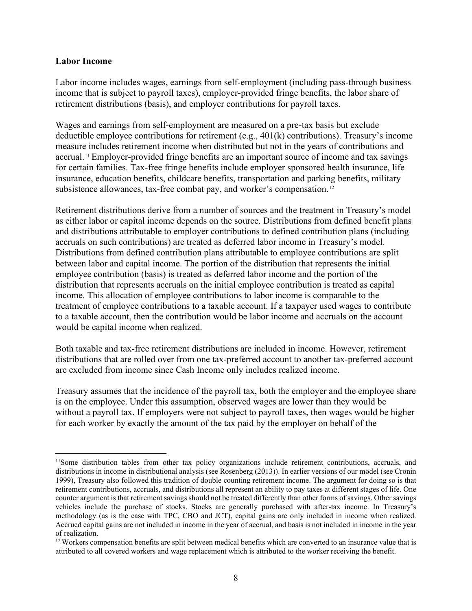#### **Labor Income**

Labor income includes wages, earnings from self-employment (including pass-through business income that is subject to payroll taxes), employer-provided fringe benefits, the labor share of retirement distributions (basis), and employer contributions for payroll taxes.

Wages and earnings from self-employment are measured on a pre-tax basis but exclude deductible employee contributions for retirement (e.g., 401(k) contributions). Treasury's income measure includes retirement income when distributed but not in the years of contributions and accrual.[11](#page-9-0) Employer-provided fringe benefits are an important source of income and tax savings for certain families. Tax-free fringe benefits include employer sponsored health insurance, life insurance, education benefits, childcare benefits, transportation and parking benefits, military subsistence allowances, tax-free combat pay, and worker's compensation.<sup>12</sup>

Retirement distributions derive from a number of sources and the treatment in Treasury's model as either labor or capital income depends on the source. Distributions from defined benefit plans and distributions attributable to employer contributions to defined contribution plans (including accruals on such contributions) are treated as deferred labor income in Treasury's model. Distributions from defined contribution plans attributable to employee contributions are split between labor and capital income. The portion of the distribution that represents the initial employee contribution (basis) is treated as deferred labor income and the portion of the distribution that represents accruals on the initial employee contribution is treated as capital income. This allocation of employee contributions to labor income is comparable to the treatment of employee contributions to a taxable account. If a taxpayer used wages to contribute to a taxable account, then the contribution would be labor income and accruals on the account would be capital income when realized.

Both taxable and tax-free retirement distributions are included in income. However, retirement distributions that are rolled over from one tax-preferred account to another tax-preferred account are excluded from income since Cash Income only includes realized income.

Treasury assumes that the incidence of the payroll tax, both the employer and the employee share is on the employee. Under this assumption, observed wages are lower than they would be without a payroll tax. If employers were not subject to payroll taxes, then wages would be higher for each worker by exactly the amount of the tax paid by the employer on behalf of the

<span id="page-9-0"></span><sup>&</sup>lt;sup>11</sup>Some distribution tables from other tax policy organizations include retirement contributions, accruals, and distributions in income in distributional analysis (see Rosenberg (2013)). In earlier versions of our model (see Cronin 1999), Treasury also followed this tradition of double counting retirement income. The argument for doing so is that retirement contributions, accruals, and distributions all represent an ability to pay taxes at different stages of life. One counter argument is that retirement savings should not be treated differently than other forms of savings. Other savings vehicles include the purchase of stocks. Stocks are generally purchased with after-tax income. In Treasury's methodology (as is the case with TPC, CBO and JCT), capital gains are only included in income when realized. Accrued capital gains are not included in income in the year of accrual, and basis is not included in income in the year of realization.

<span id="page-9-1"></span><sup>&</sup>lt;sup>12</sup> Workers compensation benefits are split between medical benefits which are converted to an insurance value that is attributed to all covered workers and wage replacement which is attributed to the worker receiving the benefit.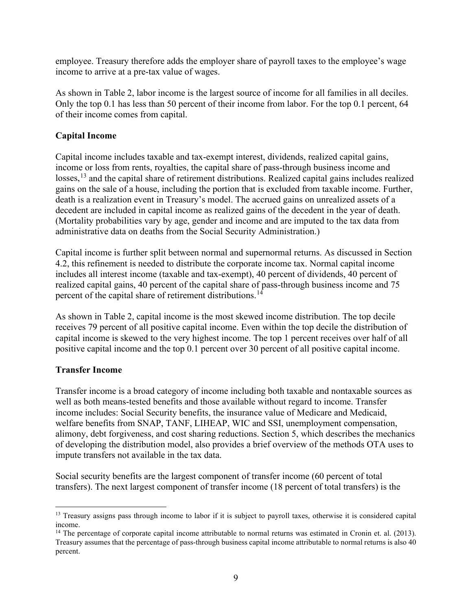employee. Treasury therefore adds the employer share of payroll taxes to the employee's wage income to arrive at a pre-tax value of wages.

As shown in Table 2, labor income is the largest source of income for all families in all deciles. Only the top 0.1 has less than 50 percent of their income from labor. For the top 0.1 percent, 64 of their income comes from capital.

## **Capital Income**

Capital income includes taxable and tax-exempt interest, dividends, realized capital gains, income or loss from rents, royalties, the capital share of pass-through business income and losses,<sup>[13](#page-10-0)</sup> and the capital share of retirement distributions. Realized capital gains includes realized gains on the sale of a house, including the portion that is excluded from taxable income. Further, death is a realization event in Treasury's model. The accrued gains on unrealized assets of a decedent are included in capital income as realized gains of the decedent in the year of death. (Mortality probabilities vary by age, gender and income and are imputed to the tax data from administrative data on deaths from the Social Security Administration.)

Capital income is further split between normal and supernormal returns. As discussed in Section 4.2, this refinement is needed to distribute the corporate income tax. Normal capital income includes all interest income (taxable and tax-exempt), 40 percent of dividends, 40 percent of realized capital gains, 40 percent of the capital share of pass-through business income and 75 percent of the capital share of retirement distributions.<sup>[14](#page-10-1)</sup>

As shown in Table 2, capital income is the most skewed income distribution. The top decile receives 79 percent of all positive capital income. Even within the top decile the distribution of capital income is skewed to the very highest income. The top 1 percent receives over half of all positive capital income and the top 0.1 percent over 30 percent of all positive capital income.

## **Transfer Income**

Transfer income is a broad category of income including both taxable and nontaxable sources as well as both means-tested benefits and those available without regard to income. Transfer income includes: Social Security benefits, the insurance value of Medicare and Medicaid, welfare benefits from SNAP, TANF, LIHEAP, WIC and SSI, unemployment compensation, alimony, debt forgiveness, and cost sharing reductions. Section 5, which describes the mechanics of developing the distribution model, also provides a brief overview of the methods OTA uses to impute transfers not available in the tax data.

Social security benefits are the largest component of transfer income (60 percent of total transfers). The next largest component of transfer income (18 percent of total transfers) is the

<span id="page-10-0"></span><sup>&</sup>lt;sup>13</sup> Treasury assigns pass through income to labor if it is subject to payroll taxes, otherwise it is considered capital income.

<span id="page-10-1"></span> $14$  The percentage of corporate capital income attributable to normal returns was estimated in Cronin et. al. (2013). Treasury assumes that the percentage of pass-through business capital income attributable to normal returns is also 40 percent.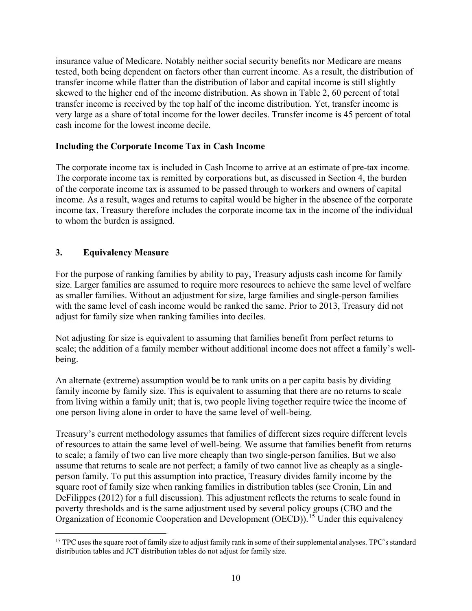insurance value of Medicare. Notably neither social security benefits nor Medicare are means tested, both being dependent on factors other than current income. As a result, the distribution of transfer income while flatter than the distribution of labor and capital income is still slightly skewed to the higher end of the income distribution. As shown in Table 2, 60 percent of total transfer income is received by the top half of the income distribution. Yet, transfer income is very large as a share of total income for the lower deciles. Transfer income is 45 percent of total cash income for the lowest income decile.

## **Including the Corporate Income Tax in Cash Income**

The corporate income tax is included in Cash Income to arrive at an estimate of pre-tax income. The corporate income tax is remitted by corporations but, as discussed in Section 4, the burden of the corporate income tax is assumed to be passed through to workers and owners of capital income. As a result, wages and returns to capital would be higher in the absence of the corporate income tax. Treasury therefore includes the corporate income tax in the income of the individual to whom the burden is assigned.

## **3. Equivalency Measure**

For the purpose of ranking families by ability to pay, Treasury adjusts cash income for family size. Larger families are assumed to require more resources to achieve the same level of welfare as smaller families. Without an adjustment for size, large families and single-person families with the same level of cash income would be ranked the same. Prior to 2013, Treasury did not adjust for family size when ranking families into deciles.

Not adjusting for size is equivalent to assuming that families benefit from perfect returns to scale; the addition of a family member without additional income does not affect a family's wellbeing.

An alternate (extreme) assumption would be to rank units on a per capita basis by dividing family income by family size. This is equivalent to assuming that there are no returns to scale from living within a family unit; that is, two people living together require twice the income of one person living alone in order to have the same level of well-being.

Treasury's current methodology assumes that families of different sizes require different levels of resources to attain the same level of well-being. We assume that families benefit from returns to scale; a family of two can live more cheaply than two single-person families. But we also assume that returns to scale are not perfect; a family of two cannot live as cheaply as a singleperson family. To put this assumption into practice, Treasury divides family income by the square root of family size when ranking families in distribution tables (see Cronin, Lin and DeFilippes (2012) for a full discussion). This adjustment reflects the returns to scale found in poverty thresholds and is the same adjustment used by several policy groups (CBO and the Organization of Economic Cooperation and Development (OECD)).<sup>[15](#page-11-0)</sup> Under this equivalency

<span id="page-11-0"></span><sup>&</sup>lt;sup>15</sup> TPC uses the square root of family size to adjust family rank in some of their supplemental analyses. TPC's standard distribution tables and JCT distribution tables do not adjust for family size.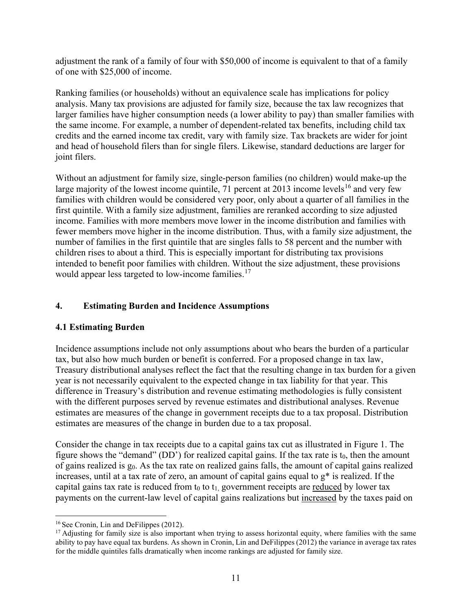adjustment the rank of a family of four with \$50,000 of income is equivalent to that of a family of one with \$25,000 of income.

Ranking families (or households) without an equivalence scale has implications for policy analysis. Many tax provisions are adjusted for family size, because the tax law recognizes that larger families have higher consumption needs (a lower ability to pay) than smaller families with the same income. For example, a number of dependent-related tax benefits, including child tax credits and the earned income tax credit, vary with family size. Tax brackets are wider for joint and head of household filers than for single filers. Likewise, standard deductions are larger for joint filers.

Without an adjustment for family size, single-person families (no children) would make-up the large majority of the lowest income quintile,  $\overline{71}$  percent at 2013 income levels<sup>16</sup> and very few families with children would be considered very poor, only about a quarter of all families in the first quintile. With a family size adjustment, families are reranked according to size adjusted income. Families with more members move lower in the income distribution and families with fewer members move higher in the income distribution. Thus, with a family size adjustment, the number of families in the first quintile that are singles falls to 58 percent and the number with children rises to about a third. This is especially important for distributing tax provisions intended to benefit poor families with children. Without the size adjustment, these provisions would appear less targeted to low-income families.<sup>[17](#page-12-1)</sup>

## **4. Estimating Burden and Incidence Assumptions**

## **4.1 Estimating Burden**

Incidence assumptions include not only assumptions about who bears the burden of a particular tax, but also how much burden or benefit is conferred. For a proposed change in tax law, Treasury distributional analyses reflect the fact that the resulting change in tax burden for a given year is not necessarily equivalent to the expected change in tax liability for that year. This difference in Treasury's distribution and revenue estimating methodologies is fully consistent with the different purposes served by revenue estimates and distributional analyses. Revenue estimates are measures of the change in government receipts due to a tax proposal. Distribution estimates are measures of the change in burden due to a tax proposal.

Consider the change in tax receipts due to a capital gains tax cut as illustrated in Figure 1. The figure shows the "demand" (DD") for realized capital gains. If the tax rate is  $t_0$ , then the amount of gains realized is  $g_0$ . As the tax rate on realized gains falls, the amount of capital gains realized increases, until at a tax rate of zero, an amount of capital gains equal to g\* is realized. If the capital gains tax rate is reduced from  $t_0$  to  $t_1$ , government receipts are reduced by lower tax payments on the current-law level of capital gains realizations but increased by the taxes paid on

<span id="page-12-0"></span><sup>16</sup> See Cronin, Lin and DeFilippes (2012).

<span id="page-12-1"></span><sup>&</sup>lt;sup>17</sup> Adjusting for family size is also important when trying to assess horizontal equity, where families with the same ability to pay have equal tax burdens. As shown in Cronin, Lin and DeFilippes (2012) the variance in average tax rates for the middle quintiles falls dramatically when income rankings are adjusted for family size.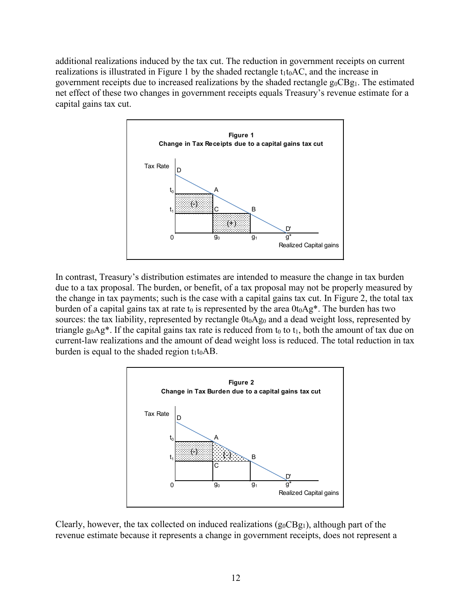additional realizations induced by the tax cut. The reduction in government receipts on current realizations is illustrated in Figure 1 by the shaded rectangle  $t_1t_0AC$ , and the increase in government receipts due to increased realizations by the shaded rectangle  $g_0CBg_1$ . The estimated net effect of these two changes in government receipts equals Treasury's revenue estimate for a capital gains tax cut.



In contrast, Treasury's distribution estimates are intended to measure the change in tax burden due to a tax proposal. The burden, or benefit, of a tax proposal may not be properly measured by the change in tax payments; such is the case with a capital gains tax cut. In Figure 2, the total tax burden of a capital gains tax at rate t<sub>0</sub> is represented by the area  $0t_0Ag^*$ . The burden has two sources: the tax liability, represented by rectangle  $0t_0Ag_0$  and a dead weight loss, represented by triangle  $g_0Ag^*$ . If the capital gains tax rate is reduced from  $t_0$  to  $t_1$ , both the amount of tax due on current-law realizations and the amount of dead weight loss is reduced. The total reduction in tax burden is equal to the shaded region  $t_1t_0AB$ .



Clearly, however, the tax collected on induced realizations  $(g_0CBg_1)$ , although part of the revenue estimate because it represents a change in government receipts, does not represent a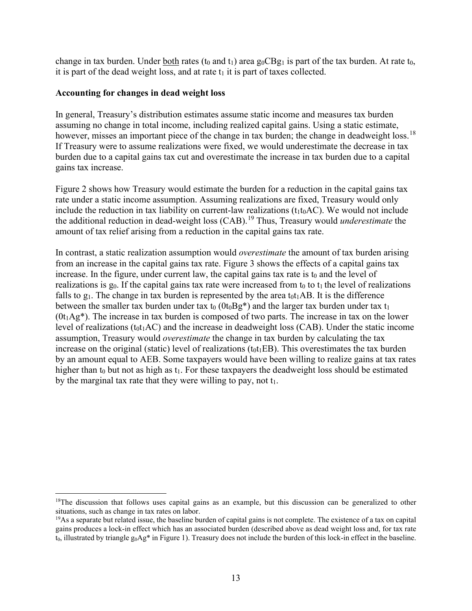change in tax burden. Under both rates (t<sub>0</sub> and t<sub>1</sub>) area  $g_0CBg_1$  is part of the tax burden. At rate t<sub>0</sub>, it is part of the dead weight loss, and at rate  $t_1$  it is part of taxes collected.

### **Accounting for changes in dead weight loss**

In general, Treasury's distribution estimates assume static income and measures tax burden assuming no change in total income, including realized capital gains. Using a static estimate, however, misses an important piece of the change in tax burden; the change in deadweight loss.<sup>[18](#page-14-0)</sup> If Treasury were to assume realizations were fixed, we would underestimate the decrease in tax burden due to a capital gains tax cut and overestimate the increase in tax burden due to a capital gains tax increase.

Figure 2 shows how Treasury would estimate the burden for a reduction in the capital gains tax rate under a static income assumption. Assuming realizations are fixed, Treasury would only include the reduction in tax liability on current-law realizations  $(t_1t_0AC)$ . We would not include the additional reduction in dead-weight loss (CAB).[19](#page-14-1) Thus, Treasury would *underestimate* the amount of tax relief arising from a reduction in the capital gains tax rate.

In contrast, a static realization assumption would *overestimate* the amount of tax burden arising from an increase in the capital gains tax rate. Figure 3 shows the effects of a capital gains tax increase. In the figure, under current law, the capital gains tax rate is  $t_0$  and the level of realizations is  $g_0$ . If the capital gains tax rate were increased from  $t_0$  to  $t_1$  the level of realizations falls to  $g_1$ . The change in tax burden is represented by the area  $t_0t_1AB$ . It is the difference between the smaller tax burden under tax  $t_0$  ( $0t_0Bg^*$ ) and the larger tax burden under tax  $t_1$  $(0t_1Ag^*)$ . The increase in tax burden is composed of two parts. The increase in tax on the lower level of realizations ( $t_0t_1AC$ ) and the increase in deadweight loss (CAB). Under the static income assumption, Treasury would *overestimate* the change in tax burden by calculating the tax increase on the original (static) level of realizations  $(t_0t_1EB)$ . This overestimates the tax burden by an amount equal to AEB. Some taxpayers would have been willing to realize gains at tax rates higher than  $t_0$  but not as high as  $t_1$ . For these taxpayers the deadweight loss should be estimated by the marginal tax rate that they were willing to pay, not  $t_1$ .

<span id="page-14-0"></span><sup>&</sup>lt;sup>18</sup>The discussion that follows uses capital gains as an example, but this discussion can be generalized to other situations, such as change in tax rates on labor.

<span id="page-14-1"></span> $19\text{As}$  a separate but related issue, the baseline burden of capital gains is not complete. The existence of a tax on capital gains produces a lock-in effect which has an associated burden (described above as dead weight loss and, for tax rate  $t_0$ , illustrated by triangle  $g_0Ag^*$  in Figure 1). Treasury does not include the burden of this lock-in effect in the baseline.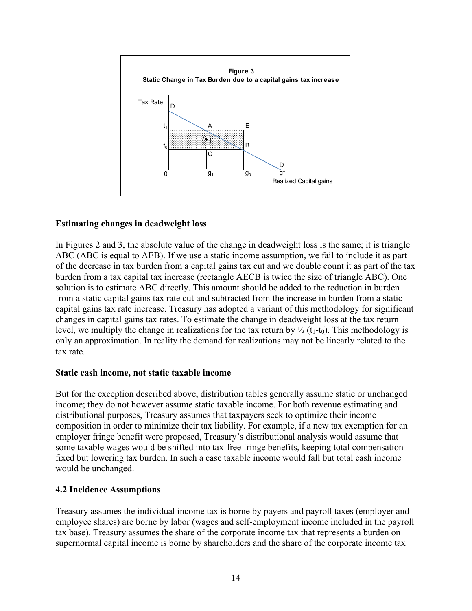

## **Estimating changes in deadweight loss**

In Figures 2 and 3, the absolute value of the change in deadweight loss is the same; it is triangle ABC (ABC is equal to AEB). If we use a static income assumption, we fail to include it as part of the decrease in tax burden from a capital gains tax cut and we double count it as part of the tax burden from a tax capital tax increase (rectangle AECB is twice the size of triangle ABC). One solution is to estimate ABC directly. This amount should be added to the reduction in burden from a static capital gains tax rate cut and subtracted from the increase in burden from a static capital gains tax rate increase. Treasury has adopted a variant of this methodology for significant changes in capital gains tax rates. To estimate the change in deadweight loss at the tax return level, we multiply the change in realizations for the tax return by  $\frac{1}{2}$  (t<sub>1</sub>-t<sub>0</sub>). This methodology is only an approximation. In reality the demand for realizations may not be linearly related to the tax rate.

#### **Static cash income, not static taxable income**

But for the exception described above, distribution tables generally assume static or unchanged income; they do not however assume static taxable income. For both revenue estimating and distributional purposes, Treasury assumes that taxpayers seek to optimize their income composition in order to minimize their tax liability. For example, if a new tax exemption for an employer fringe benefit were proposed, Treasury's distributional analysis would assume that some taxable wages would be shifted into tax-free fringe benefits, keeping total compensation fixed but lowering tax burden. In such a case taxable income would fall but total cash income would be unchanged.

#### **4.2 Incidence Assumptions**

Treasury assumes the individual income tax is borne by payers and payroll taxes (employer and employee shares) are borne by labor (wages and self-employment income included in the payroll tax base). Treasury assumes the share of the corporate income tax that represents a burden on supernormal capital income is borne by shareholders and the share of the corporate income tax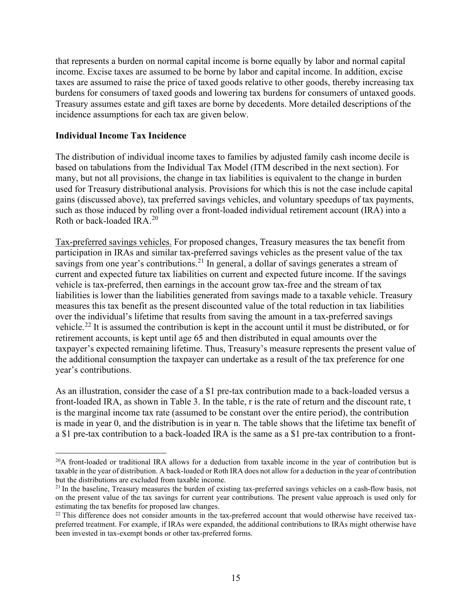that represents a burden on normal capital income is borne equally by labor and normal capital income. Excise taxes are assumed to be borne by labor and capital income. In addition, excise taxes are assumed to raise the price of taxed goods relative to other goods, thereby increasing tax burdens for consumers of taxed goods and lowering tax burdens for consumers of untaxed goods. Treasury assumes estate and gift taxes are borne by decedents. More detailed descriptions of the incidence assumptions for each tax are given below.

### **Individual Income Tax Incidence**

The distribution of individual income taxes to families by adjusted family cash income decile is based on tabulations from the Individual Tax Model (ITM described in the next section). For many, but not all provisions, the change in tax liabilities is equivalent to the change in burden used for Treasury distributional analysis. Provisions for which this is not the case include capital gains (discussed above), tax preferred savings vehicles, and voluntary speedups of tax payments, such as those induced by rolling over a front-loaded individual retirement account (IRA) into a Roth or back-loaded IRA.[20](#page-16-0)

Tax-preferred savings vehicles. For proposed changes, Treasury measures the tax benefit from participation in IRAs and similar tax-preferred savings vehicles as the present value of the tax savings from one year's contributions.<sup>[21](#page-16-1)</sup> In general, a dollar of savings generates a stream of current and expected future tax liabilities on current and expected future income. If the savings vehicle is tax-preferred, then earnings in the account grow tax-free and the stream of tax liabilities is lower than the liabilities generated from savings made to a taxable vehicle. Treasury measures this tax benefit as the present discounted value of the total reduction in tax liabilities over the individual's lifetime that results from saving the amount in a tax-preferred savings vehicle.[22](#page-16-2) It is assumed the contribution is kept in the account until it must be distributed, or for retirement accounts, is kept until age 65 and then distributed in equal amounts over the taxpayer's expected remaining lifetime. Thus, Treasury's measure represents the present value of the additional consumption the taxpayer can undertake as a result of the tax preference for one year's contributions.

As an illustration, consider the case of a \$1 pre-tax contribution made to a back-loaded versus a front-loaded IRA, as shown in Table 3. In the table, r is the rate of return and the discount rate, t is the marginal income tax rate (assumed to be constant over the entire period), the contribution is made in year 0, and the distribution is in year n. The table shows that the lifetime tax benefit of a \$1 pre-tax contribution to a back-loaded IRA is the same as a \$1 pre-tax contribution to a front-

<span id="page-16-0"></span> $^{20}$ A front-loaded or traditional IRA allows for a deduction from taxable income in the year of contribution but is taxable in the year of distribution. A back-loaded or Roth IRA does not allow for a deduction in the year of contribution but the distributions are excluded from taxable income.

<span id="page-16-1"></span><sup>&</sup>lt;sup>21</sup> In the baseline, Treasury measures the burden of existing tax-preferred savings vehicles on a cash-flow basis, not on the present value of the tax savings for current year contributions. The present value approach is used only for estimating the tax benefits for proposed law changes.

<span id="page-16-2"></span> $22$  This difference does not consider amounts in the tax-preferred account that would otherwise have received taxpreferred treatment. For example, if IRAs were expanded, the additional contributions to IRAs might otherwise have been invested in tax-exempt bonds or other tax-preferred forms.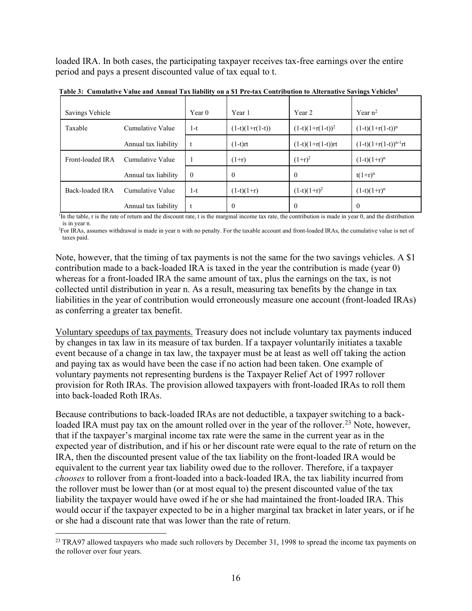loaded IRA. In both cases, the participating taxpayer receives tax-free earnings over the entire period and pays a present discounted value of tax equal to t.

| Savings Vehicle  |                      | Year 0   | Year 1            | Year 2                | Year $n^2$                 |
|------------------|----------------------|----------|-------------------|-----------------------|----------------------------|
| Taxable          | Cumulative Value     | 1-t      | $(1-t)(1+r(1-t))$ | $(1-t)(1+r(1-t))^{2}$ | $(1-t)(1+r(1-t))^{n}$      |
|                  | Annual tax liability |          | $(1-t)rt$         | $(1-t)(1+r(1-t))rt$   | $(1-t)(1+r(1-t))^{n-1}$ rt |
| Front-loaded IRA | Cumulative Value     |          | $(1+r)$           | $(1+r)^2$             | $(1-t)(1+r)^n$             |
|                  | Annual tax liability | $\Omega$ | $\theta$          | $\theta$              | $t(1+r)^n$                 |
| Back-loaded IRA  | Cumulative Value     | 1-t      | $(1-t)(1+r)$      | $(1-t)(1+r)^2$        | $(1-t)(1+r)^n$             |
|                  | Annual tax liability |          | $\theta$          | $\Omega$              | $\Omega$                   |

 **Table 3: Cumulative Value and Annual Tax liability on a \$1 Pre-tax Contribution to Alternative Savings Vehicles1**

<sup>1</sup>In the table, r is the rate of return and the discount rate, t is the marginal income tax rate, the contribution is made in year 0, and the distribution is in year n.

<sup>2</sup>For IRAs, assumes withdrawal is made in year n with no penalty. For the taxable account and front-loaded IRAs, the cumulative value is net of taxes paid.

Note, however, that the timing of tax payments is not the same for the two savings vehicles. A \$1 contribution made to a back-loaded IRA is taxed in the year the contribution is made (year 0) whereas for a front-loaded IRA the same amount of tax, plus the earnings on the tax, is not collected until distribution in year n. As a result, measuring tax benefits by the change in tax liabilities in the year of contribution would erroneously measure one account (front-loaded IRAs) as conferring a greater tax benefit.

Voluntary speedups of tax payments. Treasury does not include voluntary tax payments induced by changes in tax law in its measure of tax burden. If a taxpayer voluntarily initiates a taxable event because of a change in tax law, the taxpayer must be at least as well off taking the action and paying tax as would have been the case if no action had been taken. One example of voluntary payments not representing burdens is the Taxpayer Relief Act of 1997 rollover provision for Roth IRAs. The provision allowed taxpayers with front-loaded IRAs to roll them into back-loaded Roth IRAs.

Because contributions to back-loaded IRAs are not deductible, a taxpayer switching to a backloaded IRA must pay tax on the amount rolled over in the year of the rollover.<sup>23</sup> Note, however, that if the taxpayer's marginal income tax rate were the same in the current year as in the expected year of distribution, and if his or her discount rate were equal to the rate of return on the IRA, then the discounted present value of the tax liability on the front-loaded IRA would be equivalent to the current year tax liability owed due to the rollover. Therefore, if a taxpayer *chooses* to rollover from a front-loaded into a back-loaded IRA, the tax liability incurred from the rollover must be lower than (or at most equal to) the present discounted value of the tax liability the taxpayer would have owed if he or she had maintained the front-loaded IRA. This would occur if the taxpayer expected to be in a higher marginal tax bracket in later years, or if he or she had a discount rate that was lower than the rate of return.

<span id="page-17-0"></span><sup>&</sup>lt;sup>23</sup> TRA97 allowed taxpayers who made such rollovers by December 31, 1998 to spread the income tax payments on the rollover over four years.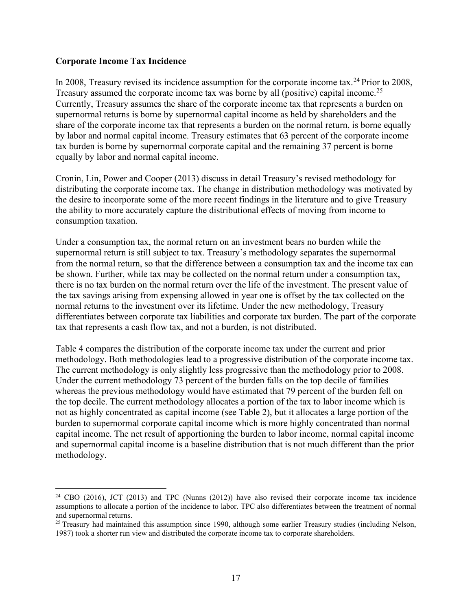#### **Corporate Income Tax Incidence**

In 2008, Treasury revised its incidence assumption for the corporate income tax.<sup>[24](#page-18-0)</sup> Prior to 2008, Treasury assumed the corporate income tax was borne by all (positive) capital income.<sup>[25](#page-18-1)</sup> Currently, Treasury assumes the share of the corporate income tax that represents a burden on supernormal returns is borne by supernormal capital income as held by shareholders and the share of the corporate income tax that represents a burden on the normal return, is borne equally by labor and normal capital income. Treasury estimates that 63 percent of the corporate income tax burden is borne by supernormal corporate capital and the remaining 37 percent is borne equally by labor and normal capital income.

Cronin, Lin, Power and Cooper (2013) discuss in detail Treasury's revised methodology for distributing the corporate income tax. The change in distribution methodology was motivated by the desire to incorporate some of the more recent findings in the literature and to give Treasury the ability to more accurately capture the distributional effects of moving from income to consumption taxation.

Under a consumption tax, the normal return on an investment bears no burden while the supernormal return is still subject to tax. Treasury's methodology separates the supernormal from the normal return, so that the difference between a consumption tax and the income tax can be shown. Further, while tax may be collected on the normal return under a consumption tax, there is no tax burden on the normal return over the life of the investment. The present value of the tax savings arising from expensing allowed in year one is offset by the tax collected on the normal returns to the investment over its lifetime. Under the new methodology, Treasury differentiates between corporate tax liabilities and corporate tax burden. The part of the corporate tax that represents a cash flow tax, and not a burden, is not distributed.

Table 4 compares the distribution of the corporate income tax under the current and prior methodology. Both methodologies lead to a progressive distribution of the corporate income tax. The current methodology is only slightly less progressive than the methodology prior to 2008. Under the current methodology 73 percent of the burden falls on the top decile of families whereas the previous methodology would have estimated that 79 percent of the burden fell on the top decile. The current methodology allocates a portion of the tax to labor income which is not as highly concentrated as capital income (see Table 2), but it allocates a large portion of the burden to supernormal corporate capital income which is more highly concentrated than normal capital income. The net result of apportioning the burden to labor income, normal capital income and supernormal capital income is a baseline distribution that is not much different than the prior methodology.

<span id="page-18-0"></span><sup>&</sup>lt;sup>24</sup> CBO (2016), JCT (2013) and TPC (Nunns (2012)) have also revised their corporate income tax incidence assumptions to allocate a portion of the incidence to labor. TPC also differentiates between the treatment of normal and supernormal returns.

<span id="page-18-1"></span> $25$  Treasury had maintained this assumption since 1990, although some earlier Treasury studies (including Nelson, 1987) took a shorter run view and distributed the corporate income tax to corporate shareholders.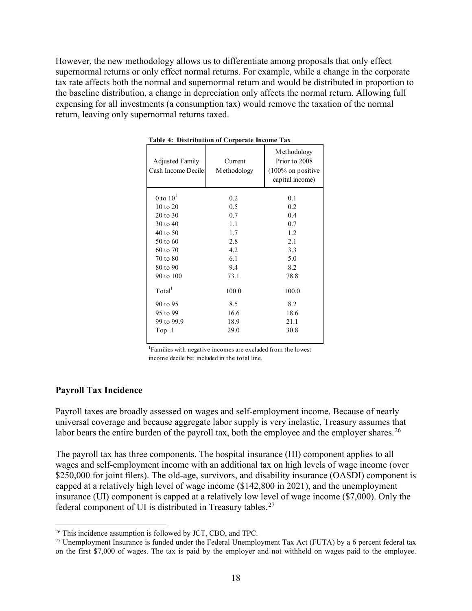However, the new methodology allows us to differentiate among proposals that only effect supernormal returns or only effect normal returns. For example, while a change in the corporate tax rate affects both the normal and supernormal return and would be distributed in proportion to the baseline distribution, a change in depreciation only affects the normal return. Allowing full expensing for all investments (a consumption tax) would remove the taxation of the normal return, leaving only supernormal returns taxed.

| <b>Adjusted Family</b><br>Cash Income Decile | Current<br>Methodology | Methodology<br>Prior to 2008<br>$(100\%$ on positive<br>capital income) |
|----------------------------------------------|------------------------|-------------------------------------------------------------------------|
| 0 to $101$                                   | 0.2                    | 0.1                                                                     |
| $10$ to $20$                                 | 0.5                    | 0.2                                                                     |
| 20 to 30                                     | 0.7                    | 0.4                                                                     |
| 30 to 40                                     | 1.1                    | 0.7                                                                     |
| 40 to 50                                     | 1.7                    | 1.2                                                                     |
| 50 to 60                                     | 2.8                    | 2.1                                                                     |
| 60 to 70                                     | 4.2                    | 3.3                                                                     |
| 70 to 80                                     | 6.1                    | 5.0                                                                     |
| 80 to 90                                     | 9.4                    | 8.2                                                                     |
| 90 to 100                                    | 73.1                   | 78.8                                                                    |
| Total <sup>1</sup>                           | 100.0                  | 100.0                                                                   |
| 90 to 95                                     | 8.5                    | 8.2                                                                     |
| 95 to 99                                     | 16.6                   | 18.6                                                                    |
| 99 to 99.9                                   | 18.9                   | 21.1                                                                    |
| Top.1                                        | 29.0                   | 30.8                                                                    |

**Table 4: Distribution of Corporate Income Tax**

<sup>1</sup>Families with negative incomes are excluded from the lowest income decile but included in the total line.

#### **Payroll Tax Incidence**

Payroll taxes are broadly assessed on wages and self-employment income. Because of nearly universal coverage and because aggregate labor supply is very inelastic, Treasury assumes that labor bears the entire burden of the payroll tax, both the employee and the employer shares.<sup>[26](#page-19-0)</sup>

The payroll tax has three components. The hospital insurance (HI) component applies to all wages and self-employment income with an additional tax on high levels of wage income (over \$250,000 for joint filers). The old-age, survivors, and disability insurance (OASDI) component is capped at a relatively high level of wage income (\$142,800 in 2021), and the unemployment insurance (UI) component is capped at a relatively low level of wage income (\$7,000). Only the federal component of UI is distributed in Treasury tables.<sup>[27](#page-19-1)</sup>

<span id="page-19-0"></span><sup>&</sup>lt;sup>26</sup> This incidence assumption is followed by JCT, CBO, and TPC.

<span id="page-19-1"></span><sup>&</sup>lt;sup>27</sup> Unemployment Insurance is funded under the Federal Unemployment Tax Act (FUTA) by a 6 percent federal tax on the first \$7,000 of wages. The tax is paid by the employer and not withheld on wages paid to the employee.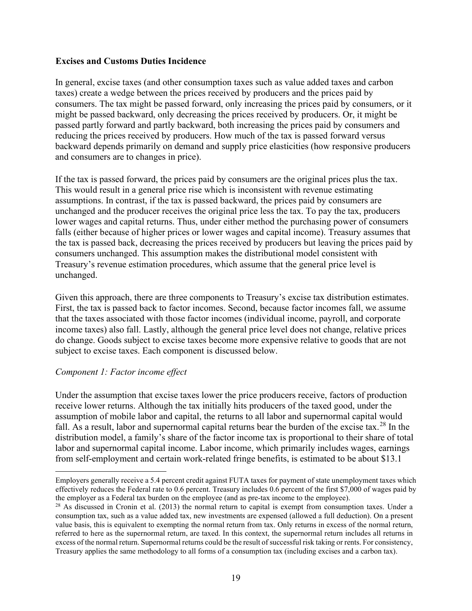#### **Excises and Customs Duties Incidence**

In general, excise taxes (and other consumption taxes such as value added taxes and carbon taxes) create a wedge between the prices received by producers and the prices paid by consumers. The tax might be passed forward, only increasing the prices paid by consumers, or it might be passed backward, only decreasing the prices received by producers. Or, it might be passed partly forward and partly backward, both increasing the prices paid by consumers and reducing the prices received by producers. How much of the tax is passed forward versus backward depends primarily on demand and supply price elasticities (how responsive producers and consumers are to changes in price).

If the tax is passed forward, the prices paid by consumers are the original prices plus the tax. This would result in a general price rise which is inconsistent with revenue estimating assumptions. In contrast, if the tax is passed backward, the prices paid by consumers are unchanged and the producer receives the original price less the tax. To pay the tax, producers lower wages and capital returns. Thus, under either method the purchasing power of consumers falls (either because of higher prices or lower wages and capital income). Treasury assumes that the tax is passed back, decreasing the prices received by producers but leaving the prices paid by consumers unchanged. This assumption makes the distributional model consistent with Treasury's revenue estimation procedures, which assume that the general price level is unchanged.

Given this approach, there are three components to Treasury's excise tax distribution estimates. First, the tax is passed back to factor incomes. Second, because factor incomes fall, we assume that the taxes associated with those factor incomes (individual income, payroll, and corporate income taxes) also fall. Lastly, although the general price level does not change, relative prices do change. Goods subject to excise taxes become more expensive relative to goods that are not subject to excise taxes. Each component is discussed below.

#### *Component 1: Factor income effect*

Under the assumption that excise taxes lower the price producers receive, factors of production receive lower returns. Although the tax initially hits producers of the taxed good, under the assumption of mobile labor and capital, the returns to all labor and supernormal capital would fall. As a result, labor and supernormal capital returns bear the burden of the excise tax.<sup>[28](#page-20-0)</sup> In the distribution model, a family's share of the factor income tax is proportional to their share of total labor and supernormal capital income. Labor income, which primarily includes wages, earnings from self-employment and certain work-related fringe benefits, is estimated to be about \$13.1

Employers generally receive a 5.4 percent credit against FUTA taxes for payment of state unemployment taxes which effectively reduces the Federal rate to 0.6 percent. Treasury includes 0.6 percent of the first \$7,000 of wages paid by the employer as a Federal tax burden on the employee (and as pre-tax income to the employee).<br><sup>28</sup> As discussed in Cronin et al. (2013) the normal return to capital is exempt from consumption taxes. Under a

<span id="page-20-0"></span>consumption tax, such as a value added tax, new investments are expensed (allowed a full deduction). On a present value basis, this is equivalent to exempting the normal return from tax. Only returns in excess of the normal return, referred to here as the supernormal return, are taxed. In this context, the supernormal return includes all returns in excess of the normal return. Supernormal returns could be the result of successful risk taking or rents. For consistency, Treasury applies the same methodology to all forms of a consumption tax (including excises and a carbon tax).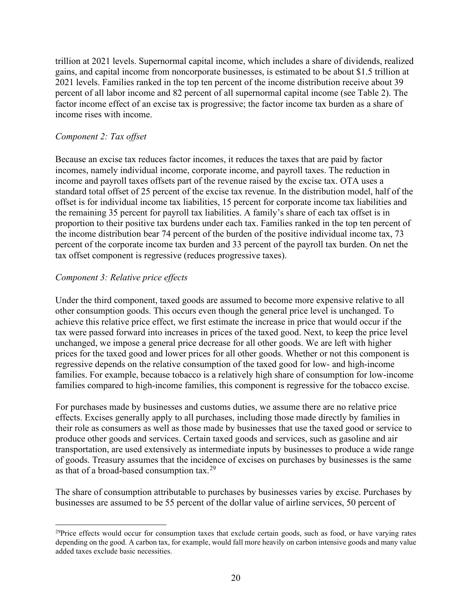trillion at 2021 levels. Supernormal capital income, which includes a share of dividends, realized gains, and capital income from noncorporate businesses, is estimated to be about \$1.5 trillion at 2021 levels. Families ranked in the top ten percent of the income distribution receive about 39 percent of all labor income and 82 percent of all supernormal capital income (see Table 2). The factor income effect of an excise tax is progressive; the factor income tax burden as a share of income rises with income.

### *Component 2: Tax offset*

Because an excise tax reduces factor incomes, it reduces the taxes that are paid by factor incomes, namely individual income, corporate income, and payroll taxes. The reduction in income and payroll taxes offsets part of the revenue raised by the excise tax. OTA uses a standard total offset of 25 percent of the excise tax revenue. In the distribution model, half of the offset is for individual income tax liabilities, 15 percent for corporate income tax liabilities and the remaining 35 percent for payroll tax liabilities. A family's share of each tax offset is in proportion to their positive tax burdens under each tax. Families ranked in the top ten percent of the income distribution bear 74 percent of the burden of the positive individual income tax, 73 percent of the corporate income tax burden and 33 percent of the payroll tax burden. On net the tax offset component is regressive (reduces progressive taxes).

### *Component 3: Relative price effects*

Under the third component, taxed goods are assumed to become more expensive relative to all other consumption goods. This occurs even though the general price level is unchanged. To achieve this relative price effect, we first estimate the increase in price that would occur if the tax were passed forward into increases in prices of the taxed good. Next, to keep the price level unchanged, we impose a general price decrease for all other goods. We are left with higher prices for the taxed good and lower prices for all other goods. Whether or not this component is regressive depends on the relative consumption of the taxed good for low- and high-income families. For example, because tobacco is a relatively high share of consumption for low-income families compared to high-income families, this component is regressive for the tobacco excise.

For purchases made by businesses and customs duties, we assume there are no relative price effects. Excises generally apply to all purchases, including those made directly by families in their role as consumers as well as those made by businesses that use the taxed good or service to produce other goods and services. Certain taxed goods and services, such as gasoline and air transportation, are used extensively as intermediate inputs by businesses to produce a wide range of goods. Treasury assumes that the incidence of excises on purchases by businesses is the same as that of a broad-based consumption tax.<sup>[29](#page-21-0)</sup>

The share of consumption attributable to purchases by businesses varies by excise. Purchases by businesses are assumed to be 55 percent of the dollar value of airline services, 50 percent of

<span id="page-21-0"></span> $^{29}$ Price effects would occur for consumption taxes that exclude certain goods, such as food, or have varying rates depending on the good. A carbon tax, for example, would fall more heavily on carbon intensive goods and many value added taxes exclude basic necessities.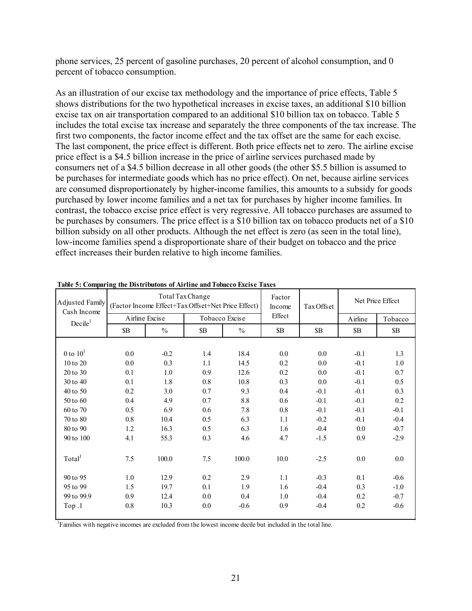phone services, 25 percent of gasoline purchases, 20 percent of alcohol consumption, and 0 percent of tobacco consumption.

As an illustration of our excise tax methodology and the importance of price effects, Table 5 shows distributions for the two hypothetical increases in excise taxes, an additional \$10 billion excise tax on air transportation compared to an additional \$10 billion tax on tobacco. Table 5 includes the total excise tax increase and separately the three components of the tax increase. The first two components, the factor income effect and the tax offset are the same for each excise. The last component, the price effect is different. Both price effects net to zero. The airline excise price effect is a \$4.5 billion increase in the price of airline services purchased made by consumers net of a \$4.5 billion decrease in all other goods (the other \$5.5 billion is assumed to be purchases for intermediate goods which has no price effect). On net, because airline services are consumed disproportionately by higher-income families, this amounts to a subsidy for goods purchased by lower income families and a net tax for purchases by higher income families. In contrast, the tobacco excise price effect is very regressive. All tobacco purchases are assumed to be purchases by consumers. The price effect is a \$10 billion tax on tobacco products net of a \$10 billion subsidy on all other products. Although the net effect is zero (as seen in the total line), low-income families spend a disproportionate share of their budget on tobacco and the price effect increases their burden relative to high income families.

| Adjusted Family<br>Cash Income |                |               | Total Tax Change | (Factor Income Effect+Tax Offset+Net Price Effect) | Factor<br>Income | Tax Offset | Net Price Effect |         |
|--------------------------------|----------------|---------------|------------------|----------------------------------------------------|------------------|------------|------------------|---------|
| Decile <sup>1</sup>            | Airline Excise |               |                  | Tobacco Excise                                     | Effect           |            | Airline          | Tobacco |
|                                | \$Β            | $\frac{0}{0}$ | \$B              | $\frac{0}{0}$                                      | \$B              | \$B        | \$B\$            | \$B\$   |
|                                |                |               |                  |                                                    |                  |            |                  |         |
| 0 to $101$                     | 0.0            | $-0.2$        | 1.4              | 18.4                                               | 0.0              | 0.0        | $-0.1$           | 1.3     |
| 10 to 20                       | 0.0            | 0.3           | 1.1              | 14.5                                               | 0.2              | 0.0        | $-0.1$           | 1.0     |
| 20 to 30                       | 0.1            | 1.0           | 0.9              | 12.6                                               | 0.2              | 0.0        | $-0.1$           | 0.7     |
| 30 to 40                       | 0.1            | 1.8           | 0.8              | 10.8                                               | 0.3              | 0.0        | $-0.1$           | 0.5     |
| 40 to 50                       | 0.2            | 3.0           | 0.7              | 9.3                                                | 0.4              | $-0.1$     | $-0.1$           | 0.3     |
| 50 to 60                       | 0.4            | 4.9           | 0.7              | 8.8                                                | 0.6              | $-0.1$     | $-0.1$           | 0.2     |
| 60 to 70                       | 0.5            | 6.9           | 0.6              | 7.8                                                | 0.8              | $-0.1$     | $-0.1$           | $-0.1$  |
| 70 to 80                       | 0.8            | 10.4          | 0.5              | 6.3                                                | 1.1              | $-0.2$     | $-0.1$           | $-0.4$  |
| 80 to 90                       | 1.2            | 16.3          | 0.5              | 6.3                                                | 1.6              | $-0.4$     | 0.0              | $-0.7$  |
| 90 to 100                      | 4.1            | 55.3          | 0.3              | 4.6                                                | 4.7              | $-1.5$     | 0.9              | $-2.9$  |
| Total <sup>1</sup>             | 7.5            | 100.0         | 7.5              | 100.0                                              | 10.0             | $-2.5$     | 0.0              | $0.0\,$ |
| 90 to 95                       | 1.0            | 12.9          | 0.2              | 2.9                                                | 1.1              | $-0.3$     | 0.1              | $-0.6$  |
| 95 to 99                       | 1.5            | 19.7          | 0.1              | 1.9                                                | 1.6              | $-0.4$     | 0.3              | $-1.0$  |
| 99 to 99.9                     | 0.9            | 12.4          | 0.0              | 0.4                                                | 1.0              | $-0.4$     | 0.2              | $-0.7$  |
| Top .1                         | 0.8            | 10.3          | 0.0              | $-0.6$                                             | 0.9              | $-0.4$     | 0.2              | $-0.6$  |

<sup>1</sup> Families with negative incomes are excluded from the lowest income decile but included in the total line.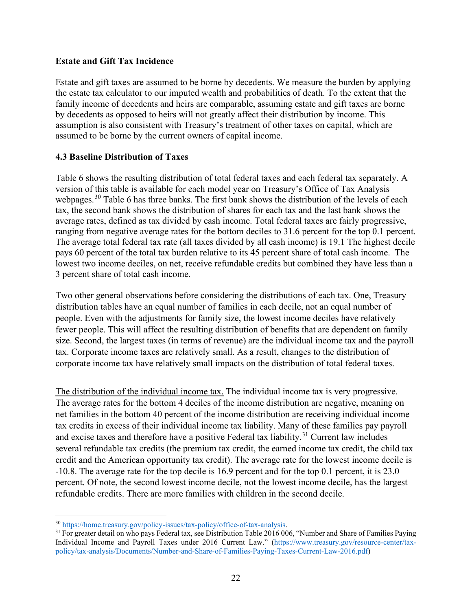## **Estate and Gift Tax Incidence**

Estate and gift taxes are assumed to be borne by decedents. We measure the burden by applying the estate tax calculator to our imputed wealth and probabilities of death. To the extent that the family income of decedents and heirs are comparable, assuming estate and gift taxes are borne by decedents as opposed to heirs will not greatly affect their distribution by income. This assumption is also consistent with Treasury's treatment of other taxes on capital, which are assumed to be borne by the current owners of capital income.

## **4.3 Baseline Distribution of Taxes**

Table 6 shows the resulting distribution of total federal taxes and each federal tax separately. A version of this table is available for each model year on Treasury's Office of Tax Analysis webpages.<sup>[30](#page-23-0)</sup> Table 6 has three banks. The first bank shows the distribution of the levels of each tax, the second bank shows the distribution of shares for each tax and the last bank shows the average rates, defined as tax divided by cash income. Total federal taxes are fairly progressive, ranging from negative average rates for the bottom deciles to 31.6 percent for the top 0.1 percent. The average total federal tax rate (all taxes divided by all cash income) is 19.1 The highest decile pays 60 percent of the total tax burden relative to its 45 percent share of total cash income. The lowest two income deciles, on net, receive refundable credits but combined they have less than a 3 percent share of total cash income.

Two other general observations before considering the distributions of each tax. One, Treasury distribution tables have an equal number of families in each decile, not an equal number of people. Even with the adjustments for family size, the lowest income deciles have relatively fewer people. This will affect the resulting distribution of benefits that are dependent on family size. Second, the largest taxes (in terms of revenue) are the individual income tax and the payroll tax. Corporate income taxes are relatively small. As a result, changes to the distribution of corporate income tax have relatively small impacts on the distribution of total federal taxes.

The distribution of the individual income tax. The individual income tax is very progressive. The average rates for the bottom 4 deciles of the income distribution are negative, meaning on net families in the bottom 40 percent of the income distribution are receiving individual income tax credits in excess of their individual income tax liability. Many of these families pay payroll and excise taxes and therefore have a positive Federal tax liability.<sup>[31](#page-23-1)</sup> Current law includes several refundable tax credits (the premium tax credit, the earned income tax credit, the child tax credit and the American opportunity tax credit). The average rate for the lowest income decile is -10.8. The average rate for the top decile is 16.9 percent and for the top 0.1 percent, it is 23.0 percent. Of note, the second lowest income decile, not the lowest income decile, has the largest refundable credits. There are more families with children in the second decile.

<span id="page-23-1"></span><span id="page-23-0"></span> $\frac{30 \text{ https://home.treasury.gov/policy-isuses/tax-policy/office-of-tax-analysis}}{1 \text{ For greater detail on who pays Federal tax, see Distribution Table 2016 006, "Number and Share of Families Paying"}}$ Individual Income and Payroll Taxes under 2016 Current Law." [\(https://www.treasury.gov/resource-center/tax](https://www.treasury.gov/resource-center/tax-policy/tax-analysis/Documents/Number-and-Share-of-Families-Paying-Taxes-Current-Law-2016.pdf)[policy/tax-analysis/Documents/Number-and-Share-of-Families-Paying-Taxes-Current-Law-2016.pdf\)](https://www.treasury.gov/resource-center/tax-policy/tax-analysis/Documents/Number-and-Share-of-Families-Paying-Taxes-Current-Law-2016.pdf)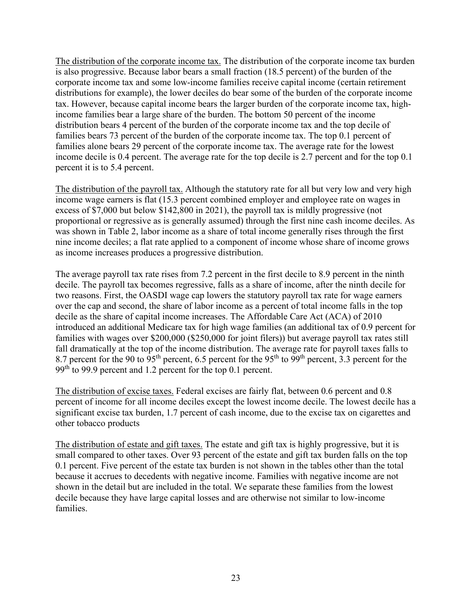The distribution of the corporate income tax. The distribution of the corporate income tax burden is also progressive. Because labor bears a small fraction (18.5 percent) of the burden of the corporate income tax and some low-income families receive capital income (certain retirement distributions for example), the lower deciles do bear some of the burden of the corporate income tax. However, because capital income bears the larger burden of the corporate income tax, highincome families bear a large share of the burden. The bottom 50 percent of the income distribution bears 4 percent of the burden of the corporate income tax and the top decile of families bears 73 percent of the burden of the corporate income tax. The top 0.1 percent of families alone bears 29 percent of the corporate income tax. The average rate for the lowest income decile is 0.4 percent. The average rate for the top decile is 2.7 percent and for the top 0.1 percent it is to 5.4 percent.

The distribution of the payroll tax. Although the statutory rate for all but very low and very high income wage earners is flat (15.3 percent combined employer and employee rate on wages in excess of \$7,000 but below \$142,800 in 2021), the payroll tax is mildly progressive (not proportional or regressive as is generally assumed) through the first nine cash income deciles. As was shown in Table 2, labor income as a share of total income generally rises through the first nine income deciles; a flat rate applied to a component of income whose share of income grows as income increases produces a progressive distribution.

The average payroll tax rate rises from 7.2 percent in the first decile to 8.9 percent in the ninth decile. The payroll tax becomes regressive, falls as a share of income, after the ninth decile for two reasons. First, the OASDI wage cap lowers the statutory payroll tax rate for wage earners over the cap and second, the share of labor income as a percent of total income falls in the top decile as the share of capital income increases. The Affordable Care Act (ACA) of 2010 introduced an additional Medicare tax for high wage families (an additional tax of 0.9 percent for families with wages over \$200,000 (\$250,000 for joint filers)) but average payroll tax rates still fall dramatically at the top of the income distribution. The average rate for payroll taxes falls to 8.7 percent for the 90 to 95<sup>th</sup> percent, 6.5 percent for the 95<sup>th</sup> to 99<sup>th</sup> percent, 3.3 percent for the 99<sup>th</sup> to 99.9 percent and 1.2 percent for the top 0.1 percent.

The distribution of excise taxes. Federal excises are fairly flat, between 0.6 percent and 0.8 percent of income for all income deciles except the lowest income decile. The lowest decile has a significant excise tax burden, 1.7 percent of cash income, due to the excise tax on cigarettes and other tobacco products

The distribution of estate and gift taxes. The estate and gift tax is highly progressive, but it is small compared to other taxes. Over 93 percent of the estate and gift tax burden falls on the top 0.1 percent. Five percent of the estate tax burden is not shown in the tables other than the total because it accrues to decedents with negative income. Families with negative income are not shown in the detail but are included in the total. We separate these families from the lowest decile because they have large capital losses and are otherwise not similar to low-income families.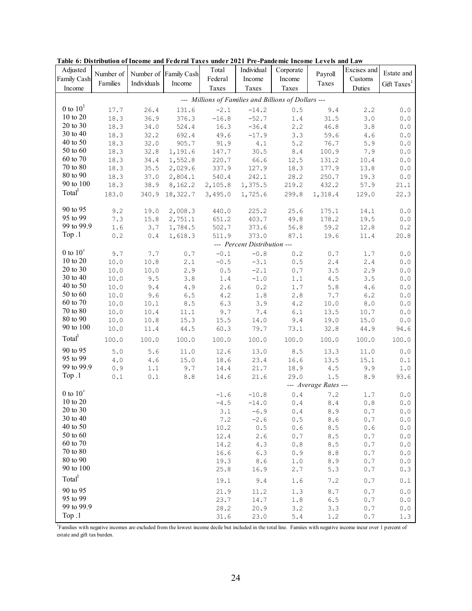| Adjusted           | Number of |             | Number of Family Cash | Total   | Individual                   | Corporate                                            | Payroll               | Excises and | Estate and                                            |
|--------------------|-----------|-------------|-----------------------|---------|------------------------------|------------------------------------------------------|-----------------------|-------------|-------------------------------------------------------|
| Family Cash        | Families  | Individuals | Income                | Federal | Income                       | Income                                               | Taxes                 | Customs     | Gift Taxes <sup>1</sup>                               |
| Income             |           |             |                       | Taxes   | Taxes                        | Taxes                                                |                       | Duties      |                                                       |
|                    |           |             |                       |         |                              | --- Millions of Families and Billions of Dollars --- |                       |             |                                                       |
| 0 to $101$         | 17.7      | 26.4        | 131.6                 | $-2.1$  | $-14.2$                      | 0.5                                                  | 9.4                   | 2.2         | $0.0$                                                 |
| 10 to 20           | 18.3      | 36.9        | 376.3                 | $-16.8$ | $-52.7$                      | 1.4                                                  | 31.5                  | 3.0         | $\ensuremath{\mathbf{0}}$ . $\ensuremath{\mathbf{0}}$ |
| 20 to 30           | 18.3      | 34.0        | 524.4                 | 16.3    | $-36.4$                      | 2.2                                                  | 46.8                  | 3.8         | ${\bf 0}$ . ${\bf 0}$                                 |
| 30 to 40           | 18.3      | 32.2        | 692.4                 | 49.6    | $-17.9$                      | 3.3                                                  | 59.6                  | 4.6         | $0.0$                                                 |
| 40 to 50           | 18.3      | 32.0        | 905.7                 | 91.9    | 4.1                          | 5.2                                                  | 76.7                  | 5.9         | ${\bf 0}$ . ${\bf 0}$                                 |
| 50 to 60           | 18.3      | 32.8        | 1,191.6               | 147.7   | 30.5                         | $\bf 8.4$                                            | 100.9                 | 7.9         | $0.0$                                                 |
| 60 to 70           | 18.3      | 34.4        | 1,552.8               | 220.7   | 66.6                         | 12.5                                                 | 131.2                 | 10.4        | $0.0$                                                 |
| 70 to 80           | 18.3      | 35.5        | 2,029.6               | 337.9   | 127.9                        | 18.3                                                 | 177.9                 | 13.8        | $0.0$                                                 |
| 80 to 90           | 18.3      | 37.0        | 2,804.1               | 540.4   | 242.1                        | 28.2                                                 | 250.7                 | 19.3        | ${\bf 0}$ . ${\bf 0}$                                 |
| 90 to 100          | 18.3      | 38.9        | 8,162.2               | 2,105.8 | 1,375.5                      | 219.2                                                | 432.2                 | 57.9        | 21.1                                                  |
| Total <sup>1</sup> | 183.0     | 340.9       | 18,322.7              | 3,495.0 | 1,725.6                      | 299.8                                                | 1,318.4               | 129.0       | 22.3                                                  |
|                    |           |             |                       |         |                              |                                                      |                       |             |                                                       |
| 90 to 95           | 9.2       | 19.0        | 2,008.3               | 440.0   | 225.2                        | 25.6                                                 | 175.1                 | 14.1        | $\ensuremath{\mathbf{0}}$ . $\ensuremath{\mathbf{0}}$ |
| 95 to 99           | 7.3       | 15.8        | 2,751.1               | 651.2   | 403.7                        | 49.8                                                 | 178.2                 | 19.5        | $0.0$                                                 |
| 99 to 99.9         | 1.6       | 3.7         | 1,784.5               | 502.7   | 373.6                        | 56.8                                                 | 59.2                  | 12.8        | 0.2                                                   |
| Top .1             | 0.2       | 0.4         | 1,618.3               | 511.9   | 373.0                        | 87.1                                                 | 19.6                  | 11.4        | 20.8                                                  |
|                    |           |             |                       |         | --- Percent Distribution --- |                                                      |                       |             |                                                       |
| 0 to $101$         | 9.7       | 7.7         | 0.7                   | $-0.1$  | $-0.8$                       | 0.2                                                  | 0.7                   | 1.7         | $0.0$                                                 |
| 10 to 20           | 10.0      | 10.8        | 2.1                   | $-0.5$  | $-3.1$                       | 0.5                                                  | 2.4                   | 2.4         | $\ensuremath{\mathbf{0}}$ . $\ensuremath{\mathbf{0}}$ |
| 20 to 30           | 10.0      | 10.0        | 2.9                   | 0.5     | $-2.1$                       | 0.7                                                  | 3.5                   | 2.9         | ${\bf 0}$ . ${\bf 0}$                                 |
| 30 to 40           | 10.0      | 9.5         | 3.8                   | 1.4     | $-1.0$                       | 1.1                                                  | 4.5                   | 3.5         | $0.0$                                                 |
| 40 to 50           | 10.0      | 9.4         | 4.9                   | 2.6     | 0.2                          | 1.7                                                  | 5.8                   | 4.6         | ${\bf 0}$ . ${\bf 0}$                                 |
| 50 to 60           | 10.0      | 9.6         | 6.5                   | 4.2     | 1.8                          | 2.8                                                  | 7.7                   | 6.2         | $0.0$                                                 |
| 60 to 70           | 10.0      | 10.1        | 8.5                   | 6.3     | 3.9                          | 4.2                                                  | 10.0                  | 8.0         | $0.0$                                                 |
| 70 to 80           | 10.0      | 10.4        | 11.1                  | 9.7     | 7.4                          | 6.1                                                  | 13.5                  | 10.7        | ${\bf 0}$ . ${\bf 0}$                                 |
| 80 to 90           | 10.0      | 10.8        | 15.3                  | 15.5    | 14.0                         | 9.4                                                  | 19.0                  | 15.0        | ${\bf 0}$ . ${\bf 0}$                                 |
| 90 to 100          | 10.0      | 11.4        | 44.5                  | 60.3    | 79.7                         | 73.1                                                 | 32.8                  | 44.9        | 94.6                                                  |
| Total <sup>1</sup> | 100.0     | 100.0       | 100.0                 | 100.0   | 100.0                        | 100.0                                                | 100.0                 | 100.0       | 100.0                                                 |
| 90 to 95           | 5.0       | 5.6         | 11.0                  | 12.6    | 13.0                         | 8.5                                                  | 13.3                  | 11.0        | $0.0$                                                 |
| 95 to 99           | $4\,.0$   | 4.6         | 15.0                  | 18.6    | 23.4                         | 16.6                                                 | 13.5                  | 15.1        | 0.1                                                   |
| 99 to 99.9         | 0.9       | 1.1         | 9.7                   | 14.4    | 21.7                         | 18.9                                                 | 4.5                   | 9.9         | 1.0                                                   |
| Top .1             | 0.1       | 0.1         | 8.8                   | 14.6    | 21.6                         | 29.0                                                 | 1.5                   | 8.9         | 93.6                                                  |
|                    |           |             |                       |         |                              |                                                      | --- Average Rates --- |             |                                                       |
| 0 to $101$         |           |             |                       | $-1.6$  | $-10.8$                      | $\ensuremath{\text{o}}$ . $\ensuremath{\text{4}}$    | 7.2                   | 1.7         | $0.0$                                                 |
| 10 to 20           |           |             |                       | $-4.5$  | $-14.0$                      | $0.4$                                                | $8.4\,$               | 0.8         | $0.0$                                                 |
| $20$ to $30\,$     |           |             |                       | 3.1     | $-6.9$                       | 0.4                                                  | 8.9                   | $0\,.7$     | $0.0$                                                 |
| 30 to 40           |           |             |                       | 7.2     | $-2.6$                       | 0.5                                                  | 8.6                   | 0.7         | ${\bf 0}$ . ${\bf 0}$                                 |
| 40 to 50           |           |             |                       | 10.2    | 0.5                          | 0.6                                                  | 8.5                   | 0.6         | 0.0                                                   |
| 50 to 60           |           |             |                       | 12.4    | 2.6                          | 0.7                                                  | 8.5                   | 0.7         | 0.0                                                   |
| 60 to 70           |           |             |                       | 14.2    | 4.3                          | 0.8                                                  | 8.5                   | 0.7         | 0.0                                                   |
| 70 to 80           |           |             |                       | 16.6    | 6.3                          | 0.9                                                  | 8.8                   | 0.7         | 0.0                                                   |
| 80 to 90           |           |             |                       | 19.3    | 8.6                          | 1.0                                                  | 8.9                   | 0.7         | ${\bf 0}$ . ${\bf 0}$                                 |
| 90 to 100          |           |             |                       | 25.8    | 16.9                         | 2.7                                                  | 5.3                   | 0.7         | 0.3                                                   |
| Total <sup>1</sup> |           |             |                       | 19.1    | 9.4                          | 1.6                                                  | 7.2                   | 0.7         | 0.1                                                   |
| 90 to 95           |           |             |                       | 21.9    | 11.2                         | 1.3                                                  | $\,8\,.7$             | 0.7         | $0.0$                                                 |
| 95 to 99           |           |             |                       | 23.7    | 14.7                         | 1.8                                                  | 6.5                   | 0.7         | 0.0                                                   |
| 99 to 99.9         |           |             |                       | 28.2    | 20.9                         | 3.2                                                  | 3.3                   | 0.7         | 0.0                                                   |
| Top.1              |           |             |                       | 31.6    | 23.0                         | 5.4                                                  | 1.2                   | 0.7         | 1.3                                                   |

**Table 6: Distribution of Income and Federal Taxes under 2021 Pre-Pandemic Income Levels and Law**

<sup>1</sup>Families with negative incomes are excluded from the lowest income decile but included in the total line. Families with negative income incur over 1 percent of estate and gift tax burden.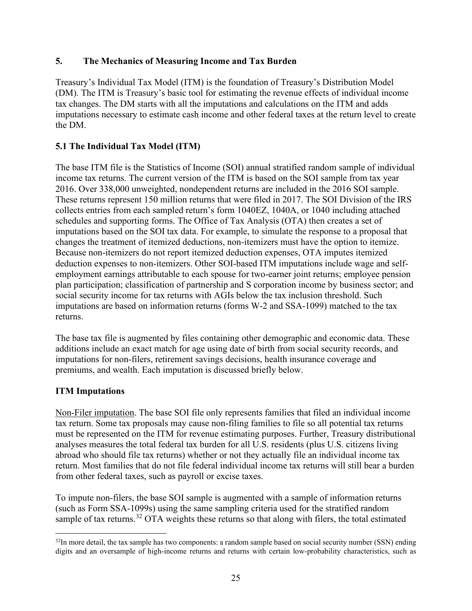## **5. The Mechanics of Measuring Income and Tax Burden**

Treasury's Individual Tax Model (ITM) is the foundation of Treasury's Distribution Model (DM). The ITM is Treasury's basic tool for estimating the revenue effects of individual income tax changes. The DM starts with all the imputations and calculations on the ITM and adds imputations necessary to estimate cash income and other federal taxes at the return level to create the DM.

## **5.1 The Individual Tax Model (ITM)**

The base ITM file is the Statistics of Income (SOI) annual stratified random sample of individual income tax returns. The current version of the ITM is based on the SOI sample from tax year 2016. Over 338,000 unweighted, nondependent returns are included in the 2016 SOI sample. These returns represent 150 million returns that were filed in 2017. The SOI Division of the IRS collects entries from each sampled return's form 1040EZ, 1040A, or 1040 including attached schedules and supporting forms. The Office of Tax Analysis (OTA) then creates a set of imputations based on the SOI tax data. For example, to simulate the response to a proposal that changes the treatment of itemized deductions, non-itemizers must have the option to itemize. Because non-itemizers do not report itemized deduction expenses, OTA imputes itemized deduction expenses to non-itemizers. Other SOI-based ITM imputations include wage and selfemployment earnings attributable to each spouse for two-earner joint returns; employee pension plan participation; classification of partnership and S corporation income by business sector; and social security income for tax returns with AGIs below the tax inclusion threshold. Such imputations are based on information returns (forms W-2 and SSA-1099) matched to the tax returns.

The base tax file is augmented by files containing other demographic and economic data. These additions include an exact match for age using date of birth from social security records, and imputations for non-filers, retirement savings decisions, health insurance coverage and premiums, and wealth. Each imputation is discussed briefly below.

## **ITM Imputations**

Non-Filer imputation. The base SOI file only represents families that filed an individual income tax return. Some tax proposals may cause non-filing families to file so all potential tax returns must be represented on the ITM for revenue estimating purposes. Further, Treasury distributional analyses measures the total federal tax burden for all U.S. residents (plus U.S. citizens living abroad who should file tax returns) whether or not they actually file an individual income tax return. Most families that do not file federal individual income tax returns will still bear a burden from other federal taxes, such as payroll or excise taxes.

To impute non-filers, the base SOI sample is augmented with a sample of information returns (such as Form SSA-1099s) using the same sampling criteria used for the stratified random sample of tax returns.<sup>[32](#page-26-0)</sup> OTA weights these returns so that along with filers, the total estimated

<span id="page-26-0"></span> $32$ In more detail, the tax sample has two components: a random sample based on social security number (SSN) ending digits and an oversample of high-income returns and returns with certain low-probability characteristics, such as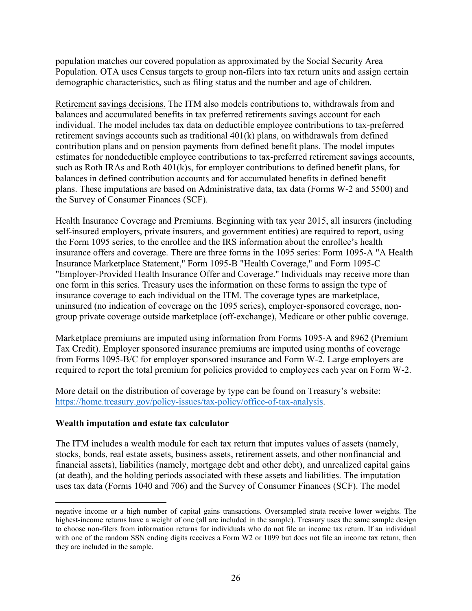population matches our covered population as approximated by the Social Security Area Population. OTA uses Census targets to group non-filers into tax return units and assign certain demographic characteristics, such as filing status and the number and age of children.

Retirement savings decisions. The ITM also models contributions to, withdrawals from and balances and accumulated benefits in tax preferred retirements savings account for each individual. The model includes tax data on deductible employee contributions to tax-preferred retirement savings accounts such as traditional 401(k) plans, on withdrawals from defined contribution plans and on pension payments from defined benefit plans. The model imputes estimates for nondeductible employee contributions to tax-preferred retirement savings accounts, such as Roth IRAs and Roth 401(k)s, for employer contributions to defined benefit plans, for balances in defined contribution accounts and for accumulated benefits in defined benefit plans. These imputations are based on Administrative data, tax data (Forms W-2 and 5500) and the Survey of Consumer Finances (SCF).

Health Insurance Coverage and Premiums. Beginning with tax year 2015, all insurers (including self-insured employers, private insurers, and government entities) are required to report, using the Form 1095 series, to the enrollee and the IRS information about the enrollee's health insurance offers and coverage. There are three forms in the 1095 series: Form 1095-A "A Health Insurance Marketplace Statement," Form 1095-B "Health Coverage," and Form 1095-C "Employer-Provided Health Insurance Offer and Coverage." Individuals may receive more than one form in this series. Treasury uses the information on these forms to assign the type of insurance coverage to each individual on the ITM. The coverage types are marketplace, uninsured (no indication of coverage on the 1095 series), employer-sponsored coverage, nongroup private coverage outside marketplace (off-exchange), Medicare or other public coverage.

Marketplace premiums are imputed using information from Forms 1095-A and 8962 (Premium Tax Credit). Employer sponsored insurance premiums are imputed using months of coverage from Forms 1095-B/C for employer sponsored insurance and Form W-2. Large employers are required to report the total premium for policies provided to employees each year on Form W-2.

More detail on the distribution of coverage by type can be found on Treasury's website: [https://home.treasury.gov/policy-issues/tax-policy/office-of-tax-analysis.](https://home.treasury.gov/policy-issues/tax-policy/office-of-tax-analysis)

## **Wealth imputation and estate tax calculator**

The ITM includes a wealth module for each tax return that imputes values of assets (namely, stocks, bonds, real estate assets, business assets, retirement assets, and other nonfinancial and financial assets), liabilities (namely, mortgage debt and other debt), and unrealized capital gains (at death), and the holding periods associated with these assets and liabilities. The imputation uses tax data (Forms 1040 and 706) and the Survey of Consumer Finances (SCF). The model

negative income or a high number of capital gains transactions. Oversampled strata receive lower weights. The highest-income returns have a weight of one (all are included in the sample). Treasury uses the same sample design to choose non-filers from information returns for individuals who do not file an income tax return. If an individual with one of the random SSN ending digits receives a Form W2 or 1099 but does not file an income tax return, then they are included in the sample.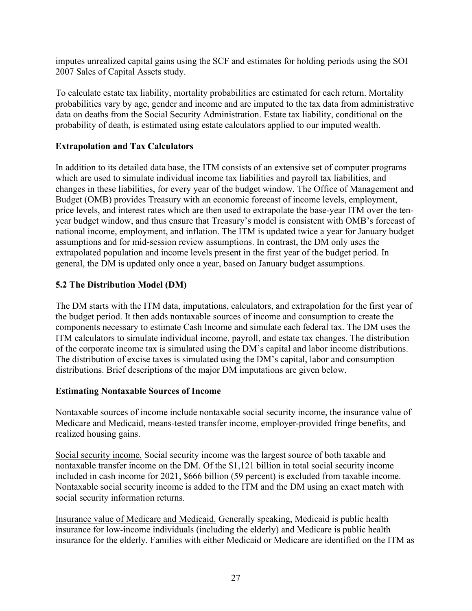imputes unrealized capital gains using the SCF and estimates for holding periods using the SOI 2007 Sales of Capital Assets study.

To calculate estate tax liability, mortality probabilities are estimated for each return. Mortality probabilities vary by age, gender and income and are imputed to the tax data from administrative data on deaths from the Social Security Administration. Estate tax liability, conditional on the probability of death, is estimated using estate calculators applied to our imputed wealth.

## **Extrapolation and Tax Calculators**

In addition to its detailed data base, the ITM consists of an extensive set of computer programs which are used to simulate individual income tax liabilities and payroll tax liabilities, and changes in these liabilities, for every year of the budget window. The Office of Management and Budget (OMB) provides Treasury with an economic forecast of income levels, employment, price levels, and interest rates which are then used to extrapolate the base-year ITM over the tenyear budget window, and thus ensure that Treasury's model is consistent with OMB's forecast of national income, employment, and inflation. The ITM is updated twice a year for January budget assumptions and for mid-session review assumptions. In contrast, the DM only uses the extrapolated population and income levels present in the first year of the budget period. In general, the DM is updated only once a year, based on January budget assumptions.

## **5.2 The Distribution Model (DM)**

The DM starts with the ITM data, imputations, calculators, and extrapolation for the first year of the budget period. It then adds nontaxable sources of income and consumption to create the components necessary to estimate Cash Income and simulate each federal tax. The DM uses the ITM calculators to simulate individual income, payroll, and estate tax changes. The distribution of the corporate income tax is simulated using the DM's capital and labor income distributions. The distribution of excise taxes is simulated using the DM's capital, labor and consumption distributions. Brief descriptions of the major DM imputations are given below.

## **Estimating Nontaxable Sources of Income**

Nontaxable sources of income include nontaxable social security income, the insurance value of Medicare and Medicaid, means-tested transfer income, employer-provided fringe benefits, and realized housing gains.

Social security income. Social security income was the largest source of both taxable and nontaxable transfer income on the DM. Of the \$1,121 billion in total social security income included in cash income for 2021, \$666 billion (59 percent) is excluded from taxable income. Nontaxable social security income is added to the ITM and the DM using an exact match with social security information returns.

Insurance value of Medicare and Medicaid. Generally speaking, Medicaid is public health insurance for low-income individuals (including the elderly) and Medicare is public health insurance for the elderly. Families with either Medicaid or Medicare are identified on the ITM as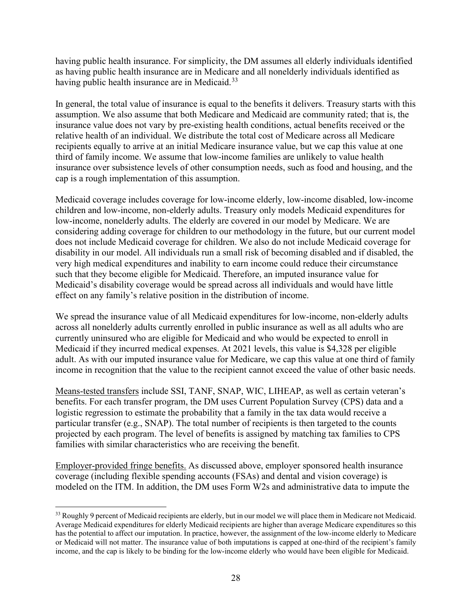having public health insurance. For simplicity, the DM assumes all elderly individuals identified as having public health insurance are in Medicare and all nonelderly individuals identified as having public health insurance are in Medicaid.<sup>33</sup>

In general, the total value of insurance is equal to the benefits it delivers. Treasury starts with this assumption. We also assume that both Medicare and Medicaid are community rated; that is, the insurance value does not vary by pre-existing health conditions, actual benefits received or the relative health of an individual. We distribute the total cost of Medicare across all Medicare recipients equally to arrive at an initial Medicare insurance value, but we cap this value at one third of family income. We assume that low-income families are unlikely to value health insurance over subsistence levels of other consumption needs, such as food and housing, and the cap is a rough implementation of this assumption.

Medicaid coverage includes coverage for low-income elderly, low-income disabled, low-income children and low-income, non-elderly adults. Treasury only models Medicaid expenditures for low-income, nonelderly adults. The elderly are covered in our model by Medicare. We are considering adding coverage for children to our methodology in the future, but our current model does not include Medicaid coverage for children. We also do not include Medicaid coverage for disability in our model. All individuals run a small risk of becoming disabled and if disabled, the very high medical expenditures and inability to earn income could reduce their circumstance such that they become eligible for Medicaid. Therefore, an imputed insurance value for Medicaid's disability coverage would be spread across all individuals and would have little effect on any family's relative position in the distribution of income.

We spread the insurance value of all Medicaid expenditures for low-income, non-elderly adults across all nonelderly adults currently enrolled in public insurance as well as all adults who are currently uninsured who are eligible for Medicaid and who would be expected to enroll in Medicaid if they incurred medical expenses. At 2021 levels, this value is \$4,328 per eligible adult. As with our imputed insurance value for Medicare, we cap this value at one third of family income in recognition that the value to the recipient cannot exceed the value of other basic needs.

Means-tested transfers include SSI, TANF, SNAP, WIC, LIHEAP, as well as certain veteran's benefits. For each transfer program, the DM uses Current Population Survey (CPS) data and a logistic regression to estimate the probability that a family in the tax data would receive a particular transfer (e.g., SNAP). The total number of recipients is then targeted to the counts projected by each program. The level of benefits is assigned by matching tax families to CPS families with similar characteristics who are receiving the benefit.

Employer-provided fringe benefits. As discussed above, employer sponsored health insurance coverage (including flexible spending accounts (FSAs) and dental and vision coverage) is modeled on the ITM. In addition, the DM uses Form W2s and administrative data to impute the

<span id="page-29-0"></span><sup>&</sup>lt;sup>33</sup> Roughly 9 percent of Medicaid recipients are elderly, but in our model we will place them in Medicare not Medicaid. Average Medicaid expenditures for elderly Medicaid recipients are higher than average Medicare expenditures so this has the potential to affect our imputation. In practice, however, the assignment of the low-income elderly to Medicare or Medicaid will not matter. The insurance value of both imputations is capped at one-third of the recipient's family income, and the cap is likely to be binding for the low-income elderly who would have been eligible for Medicaid.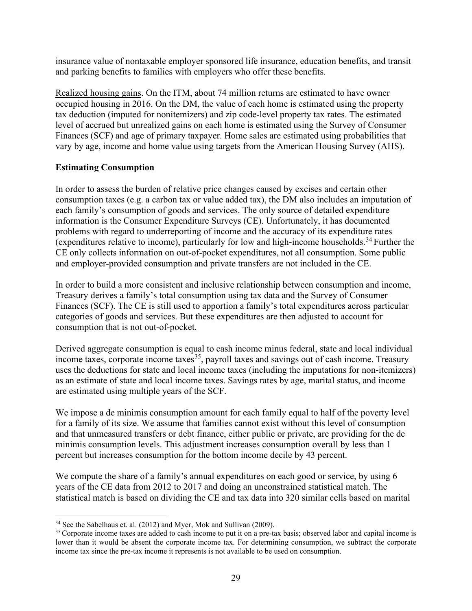insurance value of nontaxable employer sponsored life insurance, education benefits, and transit and parking benefits to families with employers who offer these benefits.

Realized housing gains. On the ITM, about 74 million returns are estimated to have owner occupied housing in 2016. On the DM, the value of each home is estimated using the property tax deduction (imputed for nonitemizers) and zip code-level property tax rates. The estimated level of accrued but unrealized gains on each home is estimated using the Survey of Consumer Finances (SCF) and age of primary taxpayer. Home sales are estimated using probabilities that vary by age, income and home value using targets from the American Housing Survey (AHS).

## **Estimating Consumption**

In order to assess the burden of relative price changes caused by excises and certain other consumption taxes (e.g. a carbon tax or value added tax), the DM also includes an imputation of each family's consumption of goods and services. The only source of detailed expenditure information is the Consumer Expenditure Surveys (CE). Unfortunately, it has documented problems with regard to underreporting of income and the accuracy of its expenditure rates (expenditures relative to income), particularly for low and high-income households.<sup>[34](#page-30-0)</sup> Further the CE only collects information on out-of-pocket expenditures, not all consumption. Some public and employer-provided consumption and private transfers are not included in the CE.

In order to build a more consistent and inclusive relationship between consumption and income, Treasury derives a family's total consumption using tax data and the Survey of Consumer Finances (SCF). The CE is still used to apportion a family's total expenditures across particular categories of goods and services. But these expenditures are then adjusted to account for consumption that is not out-of-pocket.

Derived aggregate consumption is equal to cash income minus federal, state and local individual income taxes, corporate income taxes<sup>35</sup>, payroll taxes and savings out of cash income. Treasury uses the deductions for state and local income taxes (including the imputations for non-itemizers) as an estimate of state and local income taxes. Savings rates by age, marital status, and income are estimated using multiple years of the SCF.

We impose a de minimis consumption amount for each family equal to half of the poverty level for a family of its size. We assume that families cannot exist without this level of consumption and that unmeasured transfers or debt finance, either public or private, are providing for the de minimis consumption levels. This adjustment increases consumption overall by less than 1 percent but increases consumption for the bottom income decile by 43 percent.

We compute the share of a family's annual expenditures on each good or service, by using 6 years of the CE data from 2012 to 2017 and doing an unconstrained statistical match. The statistical match is based on dividing the CE and tax data into 320 similar cells based on marital

<span id="page-30-0"></span><sup>&</sup>lt;sup>34</sup> See the Sabelhaus et. al. (2012) and Myer, Mok and Sullivan (2009).

<span id="page-30-1"></span><sup>&</sup>lt;sup>35</sup> Corporate income taxes are added to cash income to put it on a pre-tax basis; observed labor and capital income is lower than it would be absent the corporate income tax. For determining consumption, we subtract the corporate income tax since the pre-tax income it represents is not available to be used on consumption.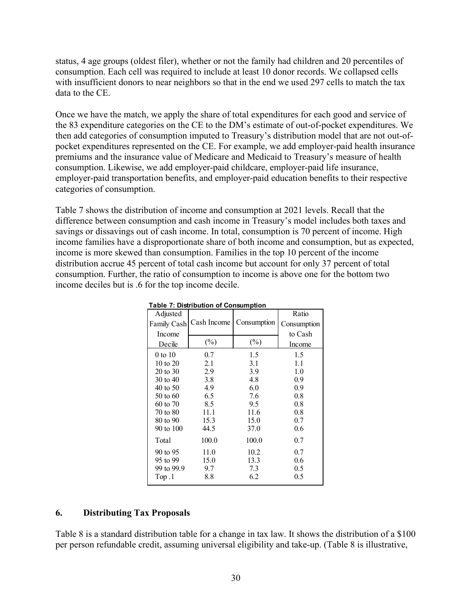status, 4 age groups (oldest filer), whether or not the family had children and 20 percentiles of consumption. Each cell was required to include at least 10 donor records. We collapsed cells with insufficient donors to near neighbors so that in the end we used 297 cells to match the tax data to the CE.

Once we have the match, we apply the share of total expenditures for each good and service of the 83 expenditure categories on the CE to the DM's estimate of out-of-pocket expenditures. We then add categories of consumption imputed to Treasury's distribution model that are not out-ofpocket expenditures represented on the CE. For example, we add employer-paid health insurance premiums and the insurance value of Medicare and Medicaid to Treasury's measure of health consumption. Likewise, we add employer-paid childcare, employer-paid life insurance, employer-paid transportation benefits, and employer-paid education benefits to their respective categories of consumption.

Table 7 shows the distribution of income and consumption at 2021 levels. Recall that the difference between consumption and cash income in Treasury's model includes both taxes and savings or dissavings out of cash income. In total, consumption is 70 percent of income. High income families have a disproportionate share of both income and consumption, but as expected, income is more skewed than consumption. Families in the top 10 percent of the income distribution accrue 45 percent of total cash income but account for only 37 percent of total consumption. Further, the ratio of consumption to income is above one for the bottom two income deciles but is .6 for the top income decile.

|                     | . apic 7. Distribution or consumption |             |             |
|---------------------|---------------------------------------|-------------|-------------|
| Adjusted            |                                       |             | Ratio       |
| <b>Family Cash</b>  | Cash Income                           | Consumption | Consumption |
| Income              |                                       |             | to Cash     |
| Decile              | $(\%)$                                | $(\%)$      | Income      |
| 0 to 10             | 0.7                                   | 1.5         | 1.5         |
| 10 to 20            | 2.1                                   | 3.1         | 1.1         |
| 20 to 30            | 2.9                                   | 3.9         | 1.0         |
| 30 to 40            | 3.8                                   | 4.8         | 0.9         |
| 40 to 50            | 4.9                                   | 6.0         | 0.9         |
| $50 \text{ to } 60$ | 6.5                                   | 7.6         | 0.8         |
| 60 to 70            | 8.5                                   | 9.5         | 0.8         |
| 70 to 80            | 11.1                                  | 11.6        | 0.8         |
| 80 to 90            | 15.3                                  | 15.0        | 0.7         |
| 90 to 100           | 44.5                                  | 37.0        | 0.6         |
| Total               | 100.0                                 | 100.0       | 0.7         |
| 90 to 95            | 11.0                                  | 10.2        | 0.7         |
| 95 to 99            | 15.0                                  | 13.3        | 0.6         |
| 99 to 99.9          | 9.7                                   | 7.3         | 0.5         |
| Top.1               | 8.8                                   | 6.2         | 0.5         |
|                     |                                       |             |             |

**Table 7: Distribution of Consumption**

## **6. Distributing Tax Proposals**

Table 8 is a standard distribution table for a change in tax law. It shows the distribution of a \$100 per person refundable credit, assuming universal eligibility and take-up. (Table 8 is illustrative,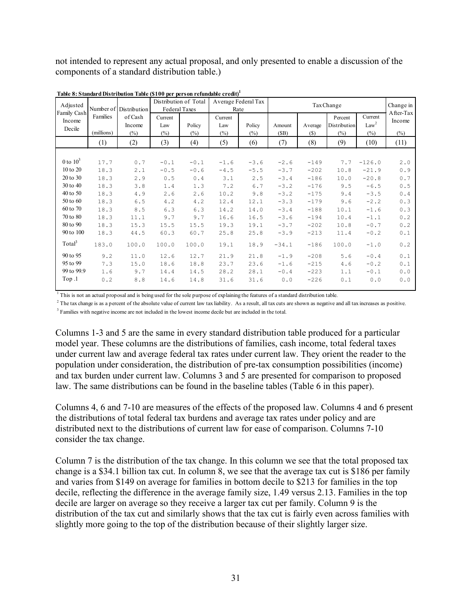not intended to represent any actual proposal, and only presented to enable a discussion of the components of a standard distribution table.)

| Adjusted<br>Family Cash |            | Number of Distribution | Distribution of Total<br>Federal Taxes |        | Rate           | Average Federal Tax | Tax Change |         |                         |                             | Change in<br>After-Tax |  |
|-------------------------|------------|------------------------|----------------------------------------|--------|----------------|---------------------|------------|---------|-------------------------|-----------------------------|------------------------|--|
| Income<br>Decile        | Families   | of Cash<br>Income      | Current<br>Law                         | Policy | Current<br>Law | Policy              | Amount     | Average | Percent<br>Distribution | Current<br>Law <sup>2</sup> | Income                 |  |
|                         | (millions) | $(\% )$                | (%)                                    | $(\%)$ | (%)            | $(\%)$              | (SB)       | (S)     | $(\%)$                  | $(\%)$                      | $(\%)$                 |  |
|                         | (1)        | (2)                    | (3)                                    | (4)    | (5)            | (6)                 | (7)        | (8)     | (9)                     | (10)                        | (11)                   |  |
|                         |            |                        |                                        |        |                |                     |            |         |                         |                             |                        |  |
| 0 to $10^3$             | 17.7       | 0.7                    | $-0.1$                                 | $-0.1$ | $-1.6$         | $-3.6$              | $-2.6$     | $-149$  | 7.7                     | $-126.0$                    | 2.0                    |  |
| 10 to 20                | 18.3       | 2.1                    | $-0.5$                                 | $-0.6$ | $-4.5$         | $-5.5$              | $-3.7$     | $-202$  | 10.8                    | $-21.9$                     | 0.9                    |  |
| 20 to 30                | 18.3       | 2.9                    | 0.5                                    | 0.4    | 3.1            | 2.5                 | $-3.4$     | $-186$  | 10.0                    | $-20.8$                     | 0.7                    |  |
| 30 to 40                | 18.3       | 3.8                    | 1.4                                    | 1.3    | 7.2            | 6.7                 | $-3.2$     | $-176$  | 9.5                     | $-6.5$                      | 0.5                    |  |
| 40 to 50                | 18.3       | 4.9                    | 2.6                                    | 2.6    | 10.2           | 9.8                 | $-3.2$     | $-175$  | 9.4                     | $-3.5$                      | 0.4                    |  |
| 50 to 60                | 18.3       | 6.5                    | 4.2                                    | 4.2    | 12.4           | 12.1                | $-3.3$     | $-179$  | 9.6                     | $-2.2$                      | 0.3                    |  |
| 60 to 70                | 18.3       | 8.5                    | 6.3                                    | 6.3    | 14.2           | 14.0                | $-3.4$     | $-188$  | 10.1                    | $-1.6$                      | 0.3                    |  |
| 70 to 80                | 18.3       | 11.1                   | 9.7                                    | 9.7    | 16.6           | 16.5                | $-3.6$     | $-194$  | 10.4                    | $-1.1$                      | 0.2                    |  |
| 80 to 90                | 18.3       | 15.3                   | 15.5                                   | 15.5   | 19.3           | 19.1                | $-3.7$     | $-202$  | 10.8                    | $-0.7$                      | 0.2                    |  |
| 90 to 100               | 18.3       | 44.5                   | 60.3                                   | 60.7   | 25.8           | 25.8                | $-3.9$     | $-213$  | 11.4                    | $-0.2$                      | 0.1                    |  |
| Total <sup>3</sup>      | 183.0      | 100.0                  | 100.0                                  | 100.0  | 19.1           | 18.9                | $-34.1$    | $-186$  | 100.0                   | $-1.0$                      | 0.2                    |  |
| 90 to 95                | 9.2        | 11.0                   | 12.6                                   | 12.7   | 21.9           | 21.8                | $-1.9$     | $-208$  | 5.6                     | $-0.4$                      | 0.1                    |  |
| 95 to 99                | 7.3        | 15.0                   | 18.6                                   | 18.8   | 23.7           | 23.6                | $-1.6$     | $-215$  | 4.6                     | $-0.2$                      | 0.1                    |  |
| 99 to 99.9              | 1.6        | 9.7                    | 14.4                                   | 14.5   | 28.2           | 28.1                | $-0.4$     | $-223$  | 1.1                     | $-0.1$                      | 0.0                    |  |
| Top .1                  | 0.2        | 8.8                    | 14.6                                   | 14.8   | 31.6           | 31.6                | 0.0        | $-226$  | 0.1                     | 0.0                         | 0.0                    |  |

**Table 8: Standard Distribution Table (\$100 per person refundable credit)1**

<sup>1</sup> This is not an actual proposal and is being used for the sole purpose of explaining the features of a standard distribution table.

 $^2$  The tax change is as a percent of the absolute value of current law tax liability. As a result, all tax cuts are shown as negative and all tax increases as positive. <sup>3</sup> Families with negative income are not included in the lowest income decile but are included in the total.

Columns 1-3 and 5 are the same in every standard distribution table produced for a particular model year. These columns are the distributions of families, cash income, total federal taxes under current law and average federal tax rates under current law. They orient the reader to the population under consideration, the distribution of pre-tax consumption possibilities (income) and tax burden under current law. Columns 3 and 5 are presented for comparison to proposed law. The same distributions can be found in the baseline tables (Table 6 in this paper).

Columns 4, 6 and 7-10 are measures of the effects of the proposed law. Columns 4 and 6 present the distributions of total federal tax burdens and average tax rates under policy and are distributed next to the distributions of current law for ease of comparison. Columns 7-10 consider the tax change.

Column 7 is the distribution of the tax change. In this column we see that the total proposed tax change is a \$34.1 billion tax cut. In column 8, we see that the average tax cut is \$186 per family and varies from \$149 on average for families in bottom decile to \$213 for families in the top decile, reflecting the difference in the average family size, 1.49 versus 2.13. Families in the top decile are larger on average so they receive a larger tax cut per family. Column 9 is the distribution of the tax cut and similarly shows that the tax cut is fairly even across families with slightly more going to the top of the distribution because of their slightly larger size.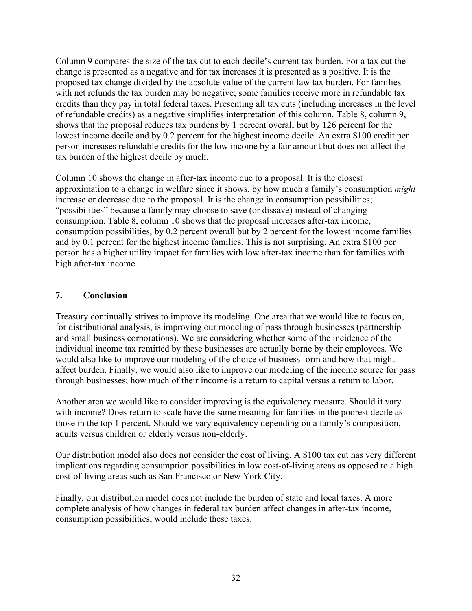Column 9 compares the size of the tax cut to each decile's current tax burden. For a tax cut the change is presented as a negative and for tax increases it is presented as a positive. It is the proposed tax change divided by the absolute value of the current law tax burden. For families with net refunds the tax burden may be negative; some families receive more in refundable tax credits than they pay in total federal taxes. Presenting all tax cuts (including increases in the level of refundable credits) as a negative simplifies interpretation of this column. Table 8, column 9, shows that the proposal reduces tax burdens by 1 percent overall but by 126 percent for the lowest income decile and by 0.2 percent for the highest income decile. An extra \$100 credit per person increases refundable credits for the low income by a fair amount but does not affect the tax burden of the highest decile by much.

Column 10 shows the change in after-tax income due to a proposal. It is the closest approximation to a change in welfare since it shows, by how much a family's consumption *might* increase or decrease due to the proposal. It is the change in consumption possibilities; "possibilities" because a family may choose to save (or dissave) instead of changing consumption. Table 8, column 10 shows that the proposal increases after-tax income, consumption possibilities, by 0.2 percent overall but by 2 percent for the lowest income families and by 0.1 percent for the highest income families. This is not surprising. An extra \$100 per person has a higher utility impact for families with low after-tax income than for families with high after-tax income.

## **7. Conclusion**

Treasury continually strives to improve its modeling. One area that we would like to focus on, for distributional analysis, is improving our modeling of pass through businesses (partnership and small business corporations). We are considering whether some of the incidence of the individual income tax remitted by these businesses are actually borne by their employees. We would also like to improve our modeling of the choice of business form and how that might affect burden. Finally, we would also like to improve our modeling of the income source for pass through businesses; how much of their income is a return to capital versus a return to labor.

Another area we would like to consider improving is the equivalency measure. Should it vary with income? Does return to scale have the same meaning for families in the poorest decile as those in the top 1 percent. Should we vary equivalency depending on a family's composition, adults versus children or elderly versus non-elderly.

Our distribution model also does not consider the cost of living. A \$100 tax cut has very different implications regarding consumption possibilities in low cost-of-living areas as opposed to a high cost-of-living areas such as San Francisco or New York City.

Finally, our distribution model does not include the burden of state and local taxes. A more complete analysis of how changes in federal tax burden affect changes in after-tax income, consumption possibilities, would include these taxes.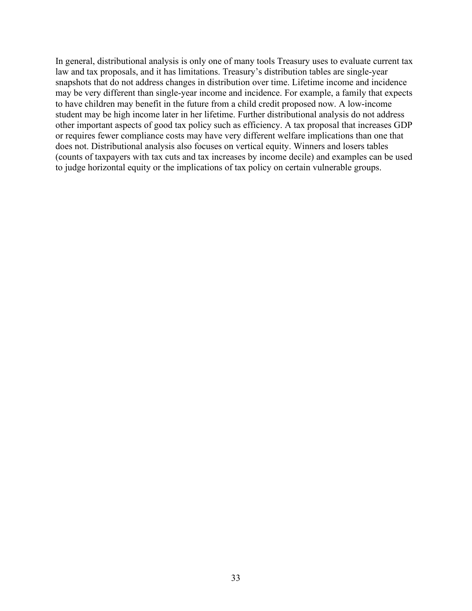In general, distributional analysis is only one of many tools Treasury uses to evaluate current tax law and tax proposals, and it has limitations. Treasury's distribution tables are single-year snapshots that do not address changes in distribution over time. Lifetime income and incidence may be very different than single-year income and incidence. For example, a family that expects to have children may benefit in the future from a child credit proposed now. A low-income student may be high income later in her lifetime. Further distributional analysis do not address other important aspects of good tax policy such as efficiency. A tax proposal that increases GDP or requires fewer compliance costs may have very different welfare implications than one that does not. Distributional analysis also focuses on vertical equity. Winners and losers tables (counts of taxpayers with tax cuts and tax increases by income decile) and examples can be used to judge horizontal equity or the implications of tax policy on certain vulnerable groups.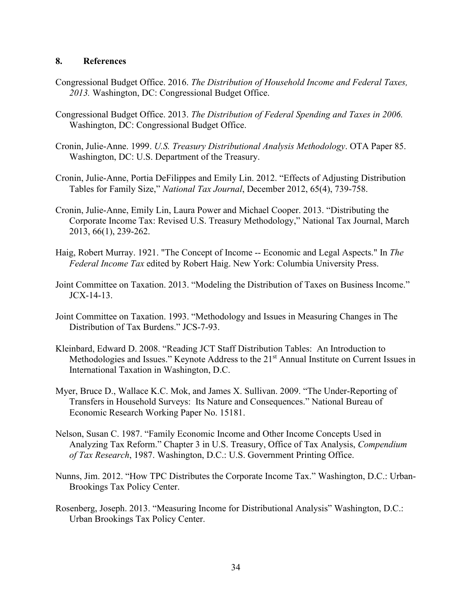#### **8. References**

- Congressional Budget Office. 2016. *The Distribution of Household Income and Federal Taxes, 2013.* Washington, DC: Congressional Budget Office.
- Congressional Budget Office. 2013. *The Distribution of Federal Spending and Taxes in 2006.*  Washington, DC: Congressional Budget Office.
- Cronin, Julie-Anne. 1999. *U.S. Treasury Distributional Analysis Methodology*. OTA Paper 85. Washington, DC: U.S. Department of the Treasury.
- Cronin, Julie-Anne, Portia DeFilippes and Emily Lin. 2012. "Effects of Adjusting Distribution Tables for Family Size," *National Tax Journal*, December 2012, 65(4), 739-758.
- Cronin, Julie-Anne, Emily Lin, Laura Power and Michael Cooper. 2013. "Distributing the Corporate Income Tax: Revised U.S. Treasury Methodology," National Tax Journal, March 2013, 66(1), 239-262.
- Haig, Robert Murray. 1921. "The Concept of Income -- Economic and Legal Aspects." In *The Federal Income Tax* edited by Robert Haig. New York: Columbia University Press.
- Joint Committee on Taxation. 2013. "Modeling the Distribution of Taxes on Business Income." JCX-14-13.
- Joint Committee on Taxation. 1993. "Methodology and Issues in Measuring Changes in The Distribution of Tax Burdens." JCS-7-93.
- Kleinbard, Edward D. 2008. "Reading JCT Staff Distribution Tables: An Introduction to Methodologies and Issues." Keynote Address to the 21<sup>st</sup> Annual Institute on Current Issues in International Taxation in Washington, D.C.
- Myer, Bruce D., Wallace K.C. Mok, and James X. Sullivan. 2009. "The Under-Reporting of Transfers in Household Surveys: Its Nature and Consequences." National Bureau of Economic Research Working Paper No. 15181.
- Nelson, Susan C. 1987. "Family Economic Income and Other Income Concepts Used in Analyzing Tax Reform." Chapter 3 in U.S. Treasury, Office of Tax Analysis, *Compendium of Tax Research*, 1987. Washington, D.C.: U.S. Government Printing Office.
- Nunns, Jim. 2012. "How TPC Distributes the Corporate Income Tax." Washington, D.C.: Urban-Brookings Tax Policy Center.
- Rosenberg, Joseph. 2013. "Measuring Income for Distributional Analysis" Washington, D.C.: Urban Brookings Tax Policy Center.